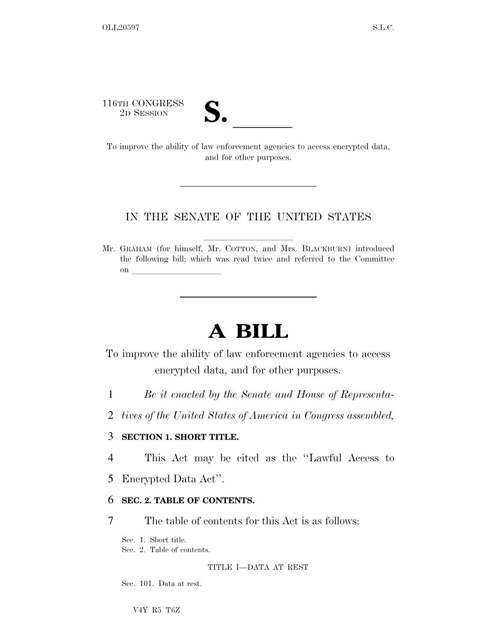116TH CONGRESS

| $\boldsymbol{\nu}$ |  |  |
|--------------------|--|--|
|                    |  |  |

16TH CONGRESS<br>
2D SESSION<br>
To improve the ability of law enforcement agencies to access encrypted data, and for other purposes.

## IN THE SENATE OF THE UNITED STATES

Mr. GRAHAM (for himself, Mr. COTTON, and Mrs. BLACKBURN) introduced the following bill; which was read twice and referred to the Committee on  $\overline{\qquad \qquad }$ 

# **A BILL**

To improve the ability of law enforcement agencies to access encrypted data, and for other purposes.

- 1 *Be it enacted by the Senate and House of Representa-*
- 2 *tives of the United States of America in Congress assembled,*

### 3 **SECTION 1. SHORT TITLE.**

4 This Act may be cited as the ''Lawful Access to

5 Encrypted Data Act''.

## 6 **SEC. 2. TABLE OF CONTENTS.**

7 The table of contents for this Act is as follows:

Sec. 1. Short title.

Sec. 2. Table of contents.

#### TITLE I—DATA AT REST

Sec. 101. Data at rest.

V4Y R5 T6Z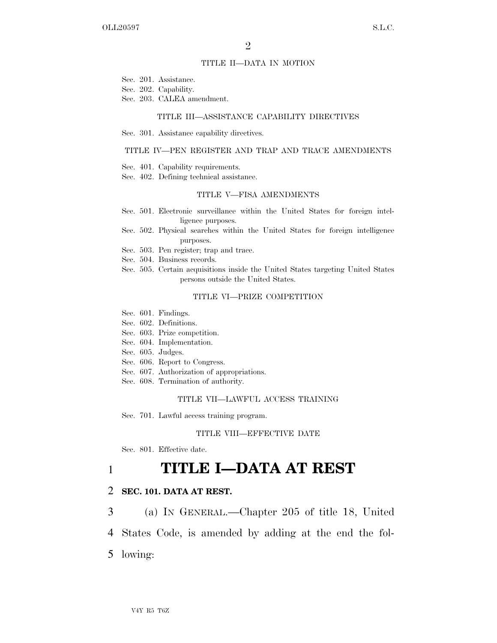#### TITLE II—DATA IN MOTION

- Sec. 201. Assistance.
- Sec. 202. Capability.
- Sec. 203. CALEA amendment.

#### TITLE III—ASSISTANCE CAPABILITY DIRECTIVES

Sec. 301. Assistance capability directives.

#### TITLE IV—PEN REGISTER AND TRAP AND TRACE AMENDMENTS

- Sec. 401. Capability requirements.
- Sec. 402. Defining technical assistance.

#### TITLE V—FISA AMENDMENTS

- Sec. 501. Electronic surveillance within the United States for foreign intelligence purposes.
- Sec. 502. Physical searches within the United States for foreign intelligence purposes.
- Sec. 503. Pen register; trap and trace.
- Sec. 504. Business records.
- Sec. 505. Certain acquisitions inside the United States targeting United States persons outside the United States.

#### TITLE VI—PRIZE COMPETITION

- Sec. 601. Findings.
- Sec. 602. Definitions.
- Sec. 603. Prize competition.
- Sec. 604. Implementation.
- Sec. 605. Judges.
- Sec. 606. Report to Congress.
- Sec. 607. Authorization of appropriations.
- Sec. 608. Termination of authority.

#### TITLE VII—LAWFUL ACCESS TRAINING

Sec. 701. Lawful access training program.

#### TITLE VIII—EFFECTIVE DATE

Sec. 801. Effective date.

# 1 **TITLE I—DATA AT REST**

#### 2 **SEC. 101. DATA AT REST.**

3 (a) IN GENERAL.—Chapter 205 of title 18, United

4 States Code, is amended by adding at the end the fol-

5 lowing: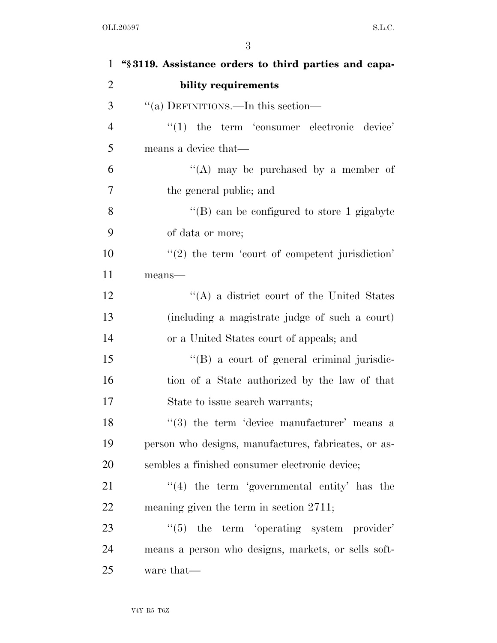| $\mathbf{1}$   | "§3119. Assistance orders to third parties and capa- |
|----------------|------------------------------------------------------|
| $\overline{2}$ | bility requirements                                  |
| 3              | "(a) DEFINITIONS.—In this section—                   |
| $\overline{4}$ | $\lq(1)$ the term 'consumer electronic device'       |
| 5              | means a device that—                                 |
| 6              | "(A) may be purchased by a member of                 |
| 7              | the general public; and                              |
| 8              | "(B) can be configured to store 1 gigabyte           |
| 9              | of data or more;                                     |
| 10             | $\lq(2)$ the term 'court of competent jurisdiction'  |
| 11             | $means$ —                                            |
| 12             | "(A) a district court of the United States           |
| 13             | (including a magistrate judge of such a court)       |
| 14             | or a United States court of appeals; and             |
| 15             | "(B) a court of general criminal jurisdic-           |
| 16             | tion of a State authorized by the law of that        |
| 17             | State to issue search warrants;                      |
| 18             | $(3)$ the term 'device manufacturer' means a         |
| 19             | person who designs, manufactures, fabricates, or as- |
| <b>20</b>      | sembles a finished consumer electronic device;       |
| 21             | $\lq(4)$ the term 'governmental entity' has the      |
| 22             | meaning given the term in section 2711;              |
| 23             | $\lq(5)$ the term 'operating system provider'        |
| 24             | means a person who designs, markets, or sells soft-  |
| 25             | ware that—                                           |
|                |                                                      |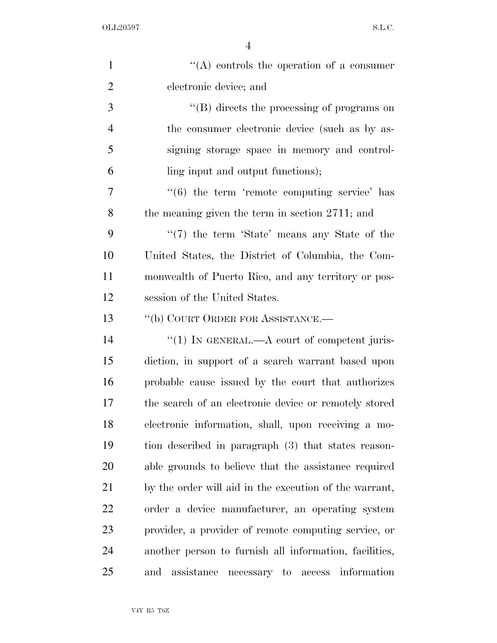| $\mathbf{1}$   | "(A) controls the operation of a consumer                    |
|----------------|--------------------------------------------------------------|
| $\overline{2}$ | electronic device; and                                       |
| 3              | $\lq\lq (B)$ directs the processing of programs on           |
| $\overline{4}$ | the consumer electronic device (such as by as-               |
| 5              | signing storage space in memory and control-                 |
| 6              | ling input and output functions);                            |
| 7              | $\cdot\cdot\cdot(6)$ the term 'remote computing service' has |
| 8              | the meaning given the term in section $2711$ ; and           |
| 9              | "(7) the term 'State' means any State of the                 |
| 10             | United States, the District of Columbia, the Com-            |
| 11             | monwealth of Puerto Rico, and any territory or pos-          |
| 12             | session of the United States.                                |
| 13             | "(b) COURT ORDER FOR ASSISTANCE.-                            |
| 14             | "(1) IN GENERAL.— $A$ court of competent juris-              |
| 15             | diction, in support of a search warrant based upon           |
| 16             | probable cause issued by the court that authorizes           |
| 17             | the search of an electronic device or remotely stored        |
| 18             | electronic information, shall, upon receiving a mo-          |
| 19             | tion described in paragraph (3) that states reason-          |
| 20             | able grounds to believe that the assistance required         |
| 21             | by the order will aid in the execution of the warrant,       |
| 22             | order a device manufacturer, an operating system             |
| 23             | provider, a provider of remote computing service, or         |
| 24             | another person to furnish all information, facilities,       |
| 25             | assistance<br>necessary to access information<br>and         |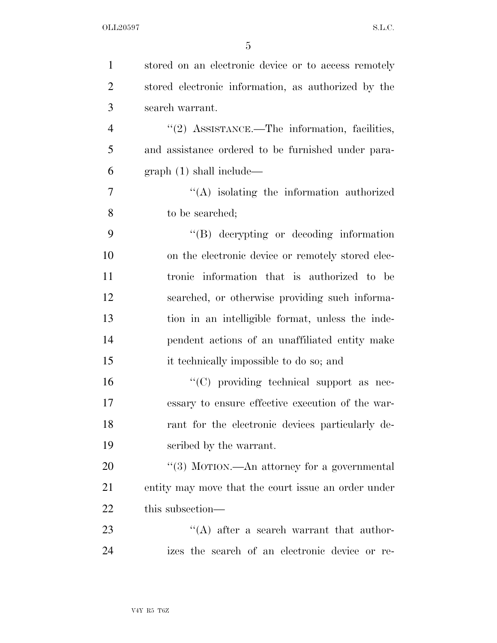| $\mathbf{1}$   | stored on an electronic device or to access remotely |
|----------------|------------------------------------------------------|
| $\overline{2}$ | stored electronic information, as authorized by the  |
| 3              | search warrant.                                      |
| $\overline{4}$ | " $(2)$ ASSISTANCE.—The information, facilities,     |
| 5              | and assistance ordered to be furnished under para-   |
| 6              | graph(1) shall include—                              |
| 7              | $\lq\lq$ isolating the information authorized        |
| 8              | to be searched;                                      |
| 9              | $\lq\lq (B)$ decrypting or decoding information      |
| 10             | on the electronic device or remotely stored elec-    |
| 11             | tronic information that is authorized to be          |
| 12             | searched, or otherwise providing such informa-       |
| 13             | tion in an intelligible format, unless the inde-     |
| 14             | pendent actions of an unaffiliated entity make       |
| 15             | it technically impossible to do so; and              |
| 16             | "(C) providing technical support as nec-             |
| 17             | essary to ensure effective execution of the war-     |
| 18             | rant for the electronic devices particularly de-     |
| 19             | scribed by the warrant.                              |
| 20             | "(3) MOTION.—An attorney for a governmental          |
| 21             | entity may move that the court issue an order under  |
| $22\,$         | this subsection—                                     |
| 23             | $\lq\lq$ after a search warrant that author-         |
| 24             | izes the search of an electronic device or re-       |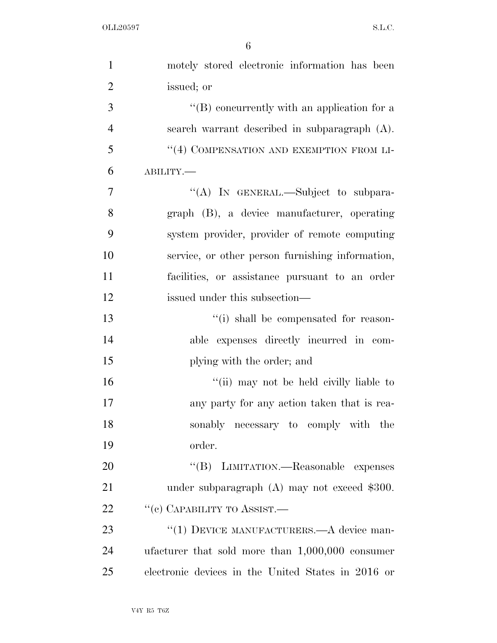| $\mathbf{1}$   | motely stored electronic information has been       |
|----------------|-----------------------------------------------------|
| $\overline{2}$ | issued; or                                          |
| 3              | $\lq\lq (B)$ concurrently with an application for a |
| $\overline{4}$ | search warrant described in subparagraph (A).       |
| 5              | "(4) COMPENSATION AND EXEMPTION FROM LI-            |
| 6              | ABILITY.-                                           |
| 7              | "(A) IN GENERAL.—Subject to subpara-                |
| 8              | graph (B), a device manufacturer, operating         |
| 9              | system provider, provider of remote computing       |
| 10             | service, or other person furnishing information,    |
| 11             | facilities, or assistance pursuant to an order      |
| 12             | issued under this subsection—                       |
| 13             | "(i) shall be compensated for reason-               |
| 14             | able expenses directly incurred in com-             |
| 15             | plying with the order; and                          |
| 16             | "(ii) may not be held civilly liable to             |
| 17             | any party for any action taken that is rea-         |
| 18             | sonably necessary to comply with the                |
| 19             | order.                                              |
| 20             | "(B) LIMITATION.—Reasonable expenses                |
| 21             | under subparagraph $(A)$ may not exceed \$300.      |
| 22             | "(c) CAPABILITY TO ASSIST.—                         |
| 23             | "(1) DEVICE MANUFACTURERS.—A device man-            |
| 24             | ufacturer that sold more than $1,000,000$ consumer  |
| 25             | electronic devices in the United States in 2016 or  |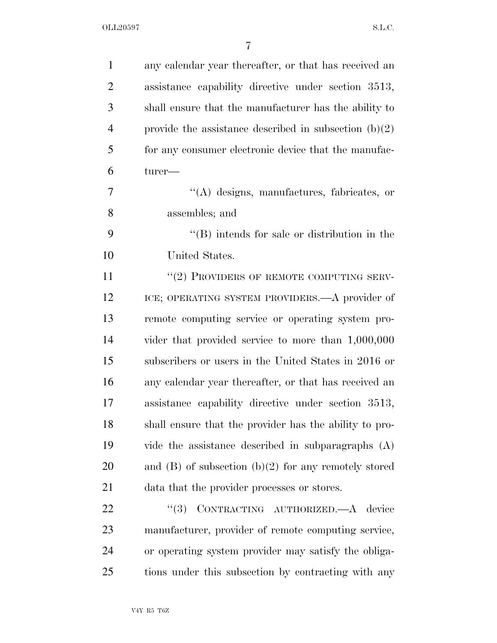| $\mathbf{1}$   | any calendar year thereafter, or that has received an    |
|----------------|----------------------------------------------------------|
| $\overline{2}$ | assistance capability directive under section 3513,      |
| 3              | shall ensure that the manufacturer has the ability to    |
| $\overline{4}$ | provide the assistance described in subsection $(b)(2)$  |
| 5              | for any consumer electronic device that the manufac-     |
| 6              | turer-                                                   |
| 7              | "(A) designs, manufactures, fabricates, or               |
| 8              | assembles; and                                           |
| 9              | $\lq\lq$ ) intends for sale or distribution in the       |
| 10             | United States.                                           |
| 11             | "(2) PROVIDERS OF REMOTE COMPUTING SERV-                 |
| 12             | ICE; OPERATING SYSTEM PROVIDERS.—A provider of           |
| 13             | remote computing service or operating system pro-        |
| 14             | vider that provided service to more than $1,000,000$     |
| 15             | subscribers or users in the United States in 2016 or     |
| 16             | any calendar year thereafter, or that has received an    |
| 17             | assistance capability directive under section 3513,      |
| 18             | shall ensure that the provider has the ability to pro-   |
| 19             | vide the assistance described in subparagraphs $(A)$     |
| 20             | and $(B)$ of subsection $(b)(2)$ for any remotely stored |
| 21             | data that the provider processes or stores.              |
| 22             | CONTRACTING AUTHORIZED.-A device<br>(3)                  |
| 23             | manufacturer, provider of remote computing service,      |
| 24             | or operating system provider may satisfy the obliga-     |
| 25             | tions under this subsection by contracting with any      |
|                |                                                          |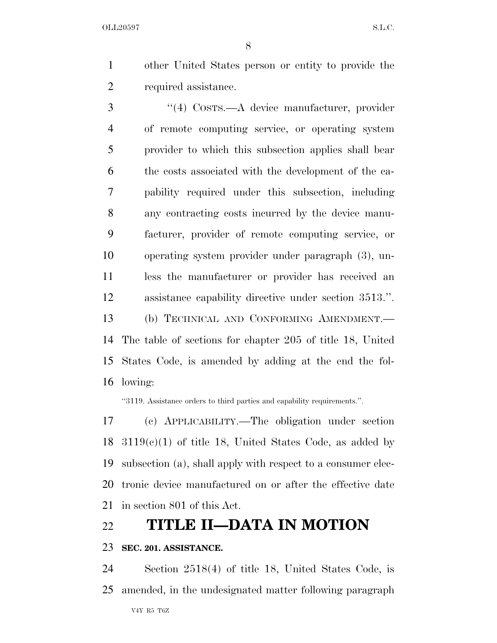other United States person or entity to provide the required assistance.

 ''(4) COSTS.—A device manufacturer, provider of remote computing service, or operating system provider to which this subsection applies shall bear the costs associated with the development of the ca- pability required under this subsection, including any contracting costs incurred by the device manu- facturer, provider of remote computing service, or operating system provider under paragraph (3), un- less the manufacturer or provider has received an assistance capability directive under section 3513.''. (b) TECHNICAL AND CONFORMING AMENDMENT.— The table of sections for chapter 205 of title 18, United States Code, is amended by adding at the end the fol-lowing:

''3119. Assistance orders to third parties and capability requirements.''.

 (c) APPLICABILITY.—The obligation under section  $3119(c)(1)$  of title 18, United States Code, as added by subsection (a), shall apply with respect to a consumer elec- tronic device manufactured on or after the effective date in section 801 of this Act.

# **TITLE II—DATA IN MOTION**

### **SEC. 201. ASSISTANCE.**

 Section 2518(4) of title 18, United States Code, is amended, in the undesignated matter following paragraph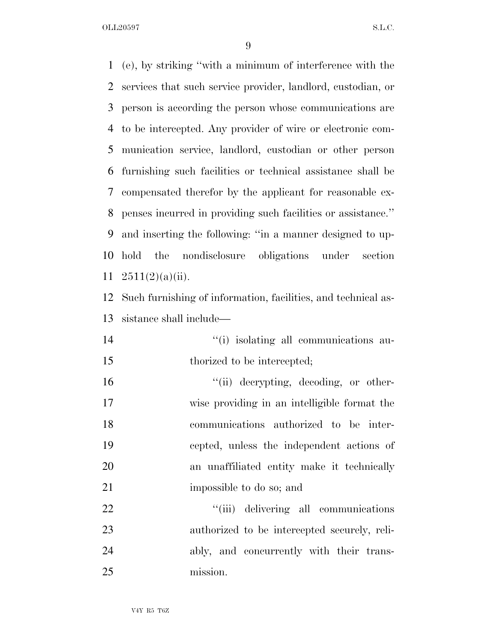(e), by striking ''with a minimum of interference with the services that such service provider, landlord, custodian, or person is according the person whose communications are to be intercepted. Any provider of wire or electronic com- munication service, landlord, custodian or other person furnishing such facilities or technical assistance shall be compensated therefor by the applicant for reasonable ex- penses incurred in providing such facilities or assistance.'' and inserting the following: ''in a manner designed to up- hold the nondisclosure obligations under section  $2511(2)(a)(ii)$ . Such furnishing of information, facilities, and technical as- sistance shall include—  $\frac{1}{10}$  isolating all communications au-15 thorized to be intercepted;  $\frac{1}{10}$  decrypting, decoding, or other- wise providing in an intelligible format the communications authorized to be inter- cepted, unless the independent actions of an unaffiliated entity make it technically 21 impossible to do so; and  $\frac{1}{1}$   $(iii)$  delivering all communications authorized to be intercepted securely, reli- ably, and concurrently with their trans-mission.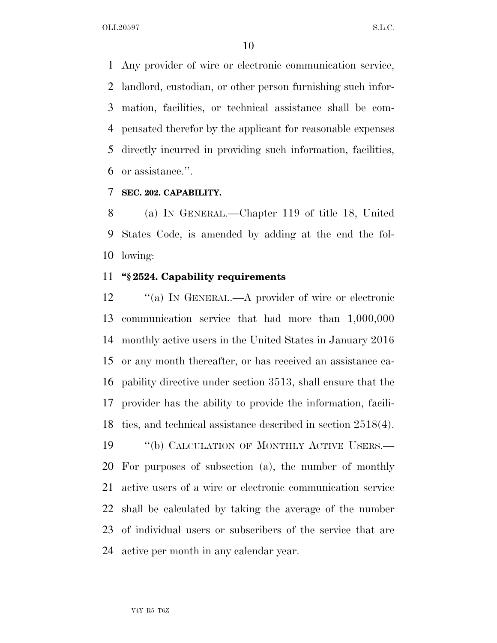Any provider of wire or electronic communication service, landlord, custodian, or other person furnishing such infor- mation, facilities, or technical assistance shall be com- pensated therefor by the applicant for reasonable expenses directly incurred in providing such information, facilities, or assistance.''.

### **SEC. 202. CAPABILITY.**

 (a) IN GENERAL.—Chapter 119 of title 18, United States Code, is amended by adding at the end the fol-lowing:

## **''§ 2524. Capability requirements**

12 "(a) IN GENERAL.—A provider of wire or electronic communication service that had more than 1,000,000 monthly active users in the United States in January 2016 or any month thereafter, or has received an assistance ca- pability directive under section 3513, shall ensure that the provider has the ability to provide the information, facili- ties, and technical assistance described in section 2518(4). 19 "(b) CALCULATION OF MONTHLY ACTIVE USERS.— For purposes of subsection (a), the number of monthly active users of a wire or electronic communication service shall be calculated by taking the average of the number of individual users or subscribers of the service that are active per month in any calendar year.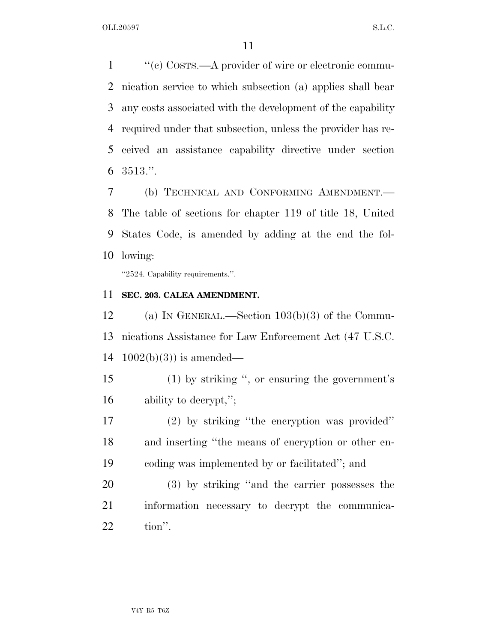1 ''(c) COSTS.—A provider of wire or electronic commu- nication service to which subsection (a) applies shall bear any costs associated with the development of the capability required under that subsection, unless the provider has re- ceived an assistance capability directive under section 3513.''.

 (b) TECHNICAL AND CONFORMING AMENDMENT.— The table of sections for chapter 119 of title 18, United States Code, is amended by adding at the end the fol-lowing:

''2524. Capability requirements.''.

### **SEC. 203. CALEA AMENDMENT.**

 (a) IN GENERAL.—Section 103(b)(3) of the Commu- nications Assistance for Law Enforcement Act (47 U.S.C. 14  $1002(b)(3)$  is amended—

 (1) by striking '', or ensuring the government's ability to decrypt,'';

 (2) by striking ''the encryption was provided'' and inserting ''the means of encryption or other en-coding was implemented by or facilitated''; and

 (3) by striking ''and the carrier possesses the information necessary to decrypt the communica-tion''.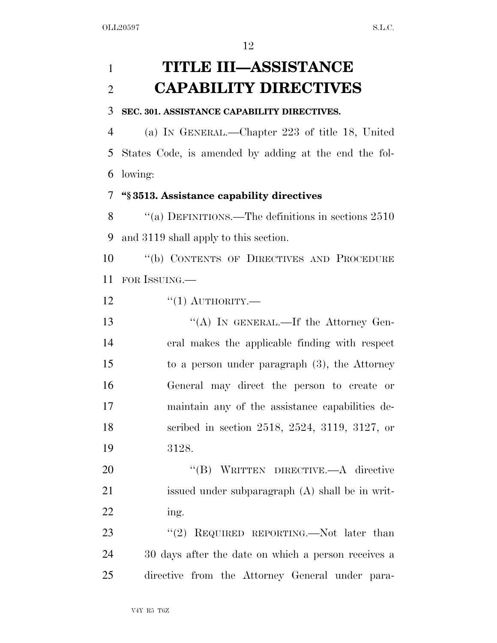# **TITLE III—ASSISTANCE CAPABILITY DIRECTIVES**

#### **SEC. 301. ASSISTANCE CAPABILITY DIRECTIVES.**

 (a) IN GENERAL.—Chapter 223 of title 18, United States Code, is amended by adding at the end the fol-lowing:

#### **''§ 3513. Assistance capability directives**

 ''(a) DEFINITIONS.—The definitions in sections 2510 and 3119 shall apply to this section.

 ''(b) CONTENTS OF DIRECTIVES AND PROCEDURE FOR ISSUING.—

 $\frac{12}{12}$  ''(1) AUTHORITY.—

13 "(A) IN GENERAL.—If the Attorney Gen- eral makes the applicable finding with respect to a person under paragraph (3), the Attorney General may direct the person to create or maintain any of the assistance capabilities de- scribed in section 2518, 2524, 3119, 3127, or 3128.

 ''(B) WRITTEN DIRECTIVE.—A directive issued under subparagraph (A) shall be in writ-ing.

23 "(2) REQUIRED REPORTING.—Not later than 30 days after the date on which a person receives a directive from the Attorney General under para-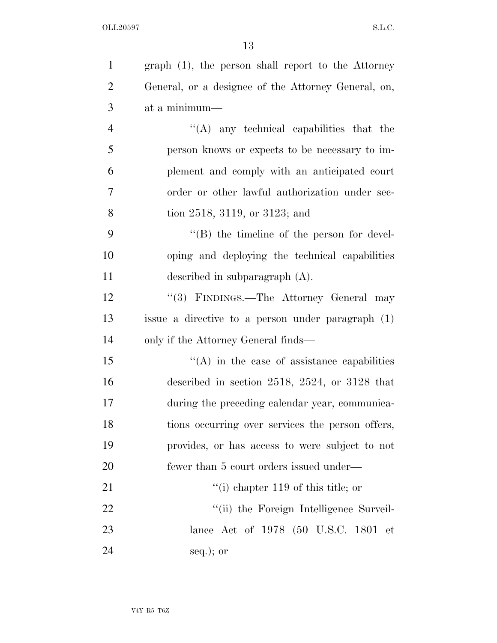| $\mathbf{1}$   | graph (1), the person shall report to the Attorney  |
|----------------|-----------------------------------------------------|
| $\overline{2}$ | General, or a designee of the Attorney General, on, |
| 3              | at a minimum-                                       |
| $\overline{4}$ | $\lq\lq$ any technical capabilities that the        |
| 5              | person knows or expects to be necessary to im-      |
| 6              | plement and comply with an anticipated court        |
| 7              | order or other lawful authorization under sec-      |
| 8              | tion 2518, 3119, or 3123; and                       |
| 9              | $\lq\lq (B)$ the timeline of the person for devel-  |
| 10             | oping and deploying the technical capabilities      |
| 11             | described in subparagraph $(A)$ .                   |
| 12             | "(3) FINDINGS.—The Attorney General may             |
| 13             | issue a directive to a person under paragraph (1)   |
| 14             | only if the Attorney General finds—                 |
| 15             | $\lq\lq$ in the case of assistance capabilities     |
| 16             | described in section 2518, 2524, or 3128 that       |
| 17             | during the preceding calendar year, communica-      |
| 18             | tions occurring over services the person offers,    |
| 19             | provides, or has access to were subject to not      |
| 20             | fewer than 5 court orders issued under—             |
| 21             | $f'(i)$ chapter 119 of this title; or               |
| 22             | "(ii) the Foreign Intelligence Surveil-             |
| 23             | lance Act of 1978 (50 U.S.C. 1801 et                |
| 24             | $seq.$ ; or                                         |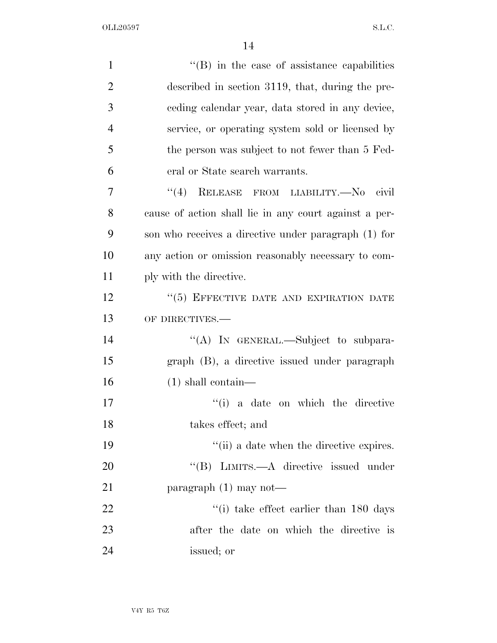| $\mathbf{1}$   | $\lq\lq$ (B) in the case of assistance capabilities   |
|----------------|-------------------------------------------------------|
| $\overline{2}$ | described in section 3119, that, during the pre-      |
| 3              | eeding calendar year, data stored in any device,      |
| $\overline{4}$ | service, or operating system sold or licensed by      |
| 5              | the person was subject to not fewer than 5 Fed-       |
| 6              | eral or State search warrants.                        |
| 7              | "(4) RELEASE FROM LIABILITY.— $No$<br>civil           |
| 8              | cause of action shall lie in any court against a per- |
| 9              | son who receives a directive under paragraph (1) for  |
| 10             | any action or omission reasonably necessary to com-   |
| 11             | ply with the directive.                               |
| 12             | "(5) EFFECTIVE DATE AND EXPIRATION DATE               |
| 13             | OF DIRECTIVES.-                                       |
| 14             | "(A) IN GENERAL.—Subject to subpara-                  |
| 15             | graph (B), a directive issued under paragraph         |
| 16             | $(1)$ shall contain—                                  |
| 17             | "(i) a date on which the directive                    |
| 18             | takes effect; and                                     |
| 19             | "(ii) a date when the directive expires.              |
| 20             | "(B) LIMITS.—A directive issued under                 |
| 21             | paragraph $(1)$ may not—                              |
| 22             | $\degree$ (i) take effect earlier than 180 days       |
| 23             | after the date on which the directive is              |
| 24             | issued; or                                            |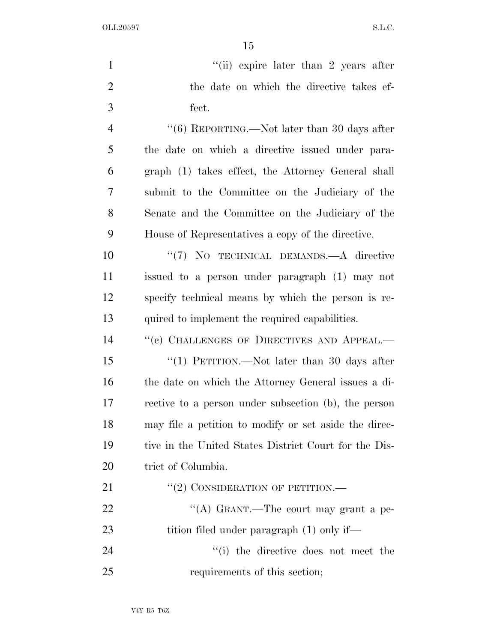| $\mathbf{1}$   | "(ii) expire later than 2 years after                 |
|----------------|-------------------------------------------------------|
| $\overline{2}$ | the date on which the directive takes ef-             |
| 3              | fect.                                                 |
| $\overline{4}$ | " $(6)$ REPORTING.—Not later than 30 days after       |
| 5              | the date on which a directive issued under para-      |
| 6              | graph (1) takes effect, the Attorney General shall    |
| 7              | submit to the Committee on the Judiciary of the       |
| 8              | Senate and the Committee on the Judiciary of the      |
| 9              | House of Representatives a copy of the directive.     |
| 10             | "(7) NO TECHNICAL DEMANDS.—A directive                |
| 11             | issued to a person under paragraph (1) may not        |
| 12             | specify technical means by which the person is re-    |
| 13             | quired to implement the required capabilities.        |
| 14             | "(c) CHALLENGES OF DIRECTIVES AND APPEAL.-            |
| 15             | "(1) PETITION.—Not later than 30 days after           |
| 16             | the date on which the Attorney General issues a di-   |
| 17             | rective to a person under subsection (b), the person  |
| 18             | may file a petition to modify or set aside the direc- |
| 19             | tive in the United States District Court for the Dis- |
| 20             | trict of Columbia.                                    |
| 21             | $``(2)$ CONSIDERATION OF PETITION.—                   |
| 22             | "(A) GRANT.—The court may grant a pe-                 |
| 23             | tition filed under paragraph (1) only if—             |
| 24             | "(i) the directive does not meet the                  |
| 25             | requirements of this section;                         |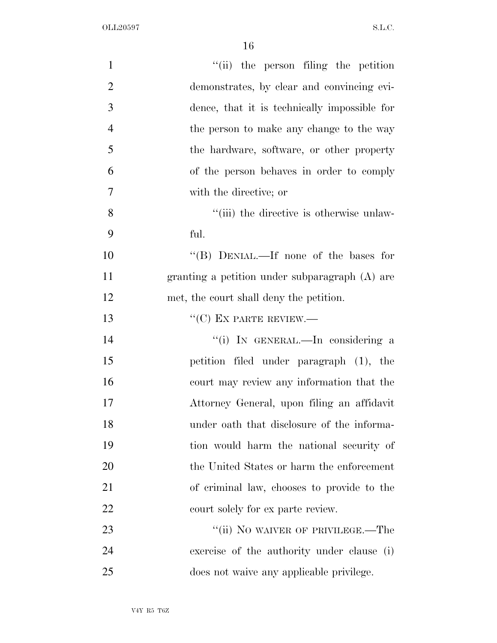| $\mathbf{1}$   | "(ii) the person filing the petition           |
|----------------|------------------------------------------------|
| $\overline{2}$ | demonstrates, by clear and convincing evi-     |
| 3              | dence, that it is technically impossible for   |
| $\overline{4}$ | the person to make any change to the way       |
| 5              | the hardware, software, or other property      |
| 6              | of the person behaves in order to comply       |
| $\overline{7}$ | with the directive; or                         |
| 8              | "(iii) the directive is otherwise unlaw-       |
| 9              | ful.                                           |
| 10             | "(B) DENIAL.—If none of the bases for          |
| 11             | granting a petition under subparagraph (A) are |
| 12             | met, the court shall deny the petition.        |
| 13             | $``(C)$ EX PARTE REVIEW.—                      |
| 14             | "(i) IN GENERAL.—In considering a              |
| 15             | petition filed under paragraph (1), the        |
| 16             | court may review any information that the      |
| 17             | Attorney General, upon filing an affidavit     |
| 18             | under oath that disclosure of the informa-     |
| 19             | tion would harm the national security of       |
| 20             | the United States or harm the enforcement      |
| 21             | of criminal law, chooses to provide to the     |
| 22             | court solely for ex parte review.              |
| 23             | "(ii) NO WAIVER OF PRIVILEGE.—The              |
| 24             | exercise of the authority under clause (i)     |
| 25             | does not waive any applicable privilege.       |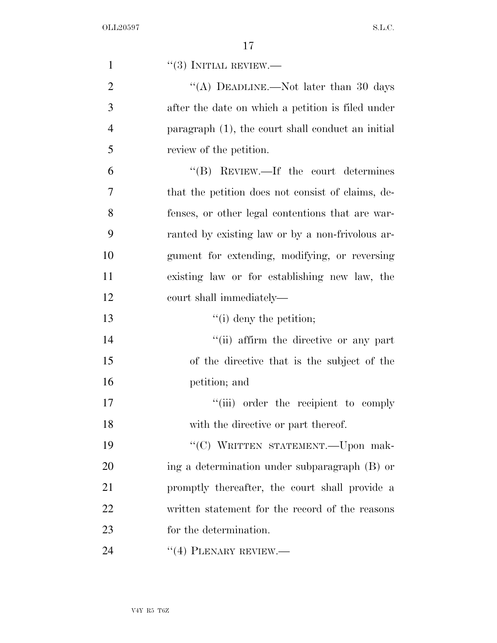| $\mathbf{1}$   | $``(3)$ INITIAL REVIEW.—                          |
|----------------|---------------------------------------------------|
| $\overline{2}$ | "(A) DEADLINE.—Not later than 30 days             |
| 3              | after the date on which a petition is filed under |
| $\overline{4}$ | paragraph (1), the court shall conduct an initial |
| 5              | review of the petition.                           |
| 6              | $\lq\lq(B)$ REVIEW.—If the court determines       |
| 7              | that the petition does not consist of claims, de- |
| 8              | fenses, or other legal contentions that are war-  |
| 9              | ranted by existing law or by a non-frivolous ar-  |
| 10             | gument for extending, modifying, or reversing     |
| 11             | existing law or for establishing new law, the     |
| 12             | court shall immediately—                          |
| 13             | $\lq\lq$ (i) deny the petition;                   |
| 14             | "(ii) affirm the directive or any part            |
| 15             | of the directive that is the subject of the       |
| 16             | petition; and                                     |
| 17             | "(iii) order the recipient to comply              |
| 18             | with the directive or part thereof.               |
| 19             | "(C) WRITTEN STATEMENT.--Upon mak-                |
| 20             | ing a determination under subparagraph (B) or     |
| 21             | promptly thereafter, the court shall provide a    |
| 22             | written statement for the record of the reasons   |
| 23             | for the determination.                            |
| 24             | $``(4)$ PLENARY REVIEW.—                          |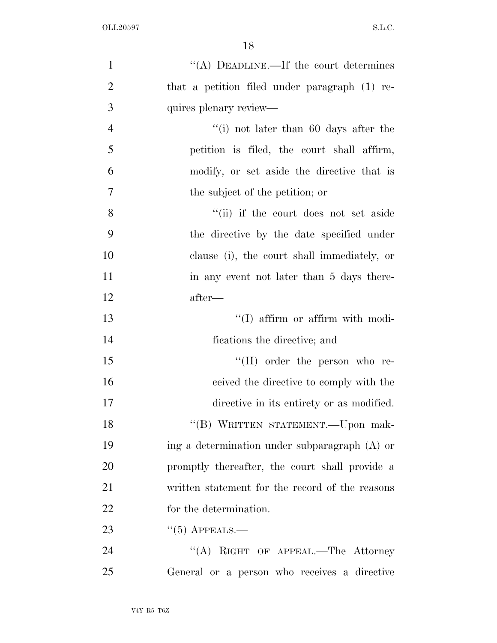| $\mathbf{1}$   | "(A) DEADLINE.—If the court determines          |
|----------------|-------------------------------------------------|
| $\overline{2}$ | that a petition filed under paragraph (1) re-   |
| 3              | quires plenary review—                          |
| $\overline{4}$ | "(i) not later than $60$ days after the         |
| 5              | petition is filed, the court shall affirm,      |
| 6              | modify, or set aside the directive that is      |
| 7              | the subject of the petition; or                 |
| 8              | "(ii) if the court does not set aside           |
| 9              | the directive by the date specified under       |
| 10             | clause (i), the court shall immediately, or     |
| 11             | in any event not later than 5 days there-       |
| 12             | after—                                          |
| 13             | "(I) affirm or affirm with modi-                |
| 14             | fications the directive; and                    |
| 15             | $\lq\lq$ (II) order the person who re-          |
| 16             | ceived the directive to comply with the         |
| 17             | directive in its entirety or as modified.       |
| 18             | "(B) WRITTEN STATEMENT. - Upon mak-             |
| 19             | ing a determination under subparagraph (A) or   |
| 20             | promptly thereafter, the court shall provide a  |
| 21             | written statement for the record of the reasons |
| 22             | for the determination.                          |
| 23             | $``(5)$ APPEALS.—                               |
| 24             | "(A) RIGHT OF APPEAL.—The Attorney              |
| 25             | General or a person who receives a directive    |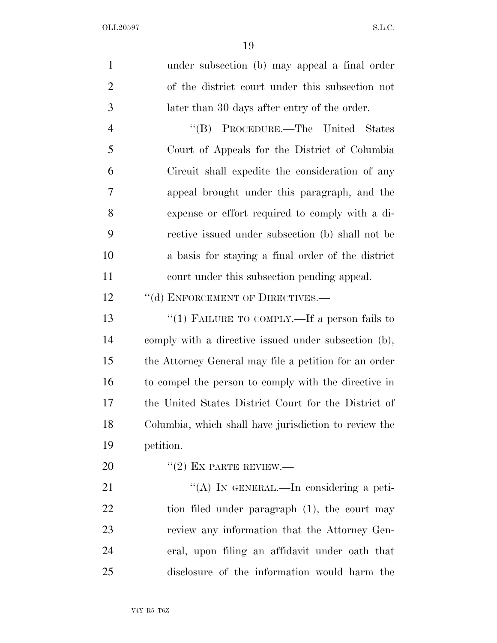| $\mathbf{1}$   | under subsection (b) may appeal a final order         |
|----------------|-------------------------------------------------------|
| $\overline{2}$ | of the district court under this subsection not       |
| 3              | later than 30 days after entry of the order.          |
| $\overline{4}$ | "(B) PROCEDURE.—The United States                     |
| 5              | Court of Appeals for the District of Columbia         |
| 6              | Circuit shall expedite the consideration of any       |
| 7              | appeal brought under this paragraph, and the          |
| 8              | expense or effort required to comply with a di-       |
| 9              | rective issued under subsection (b) shall not be      |
| 10             | a basis for staying a final order of the district     |
| 11             | court under this subsection pending appeal.           |
| 12             | "(d) ENFORCEMENT OF DIRECTIVES.—                      |
| 13             | "(1) FAILURE TO COMPLY.—If a person fails to          |
| 14             | comply with a directive issued under subsection (b),  |
| 15             | the Attorney General may file a petition for an order |
| 16             | to compel the person to comply with the directive in  |
| 17             | the United States District Court for the District of  |
| 18             | Columbia, which shall have jurisdiction to review the |
| 19             | petition.                                             |
| 20             | $"(2)$ EX PARTE REVIEW.—                              |
| 21             | "(A) IN GENERAL.—In considering a peti-               |
| 22             | tion filed under paragraph $(1)$ , the court may      |
| 23             | review any information that the Attorney Gen-         |
| 24             | eral, upon filing an affidavit under oath that        |
| 25             | disclosure of the information would harm the          |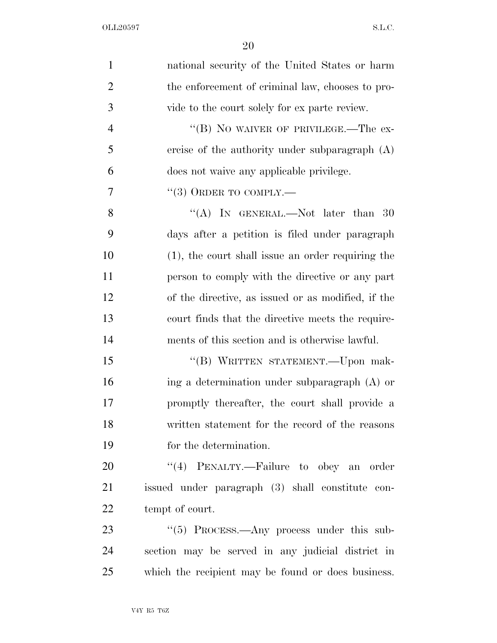| $\mathbf{1}$   | national security of the United States or harm     |
|----------------|----------------------------------------------------|
| $\overline{2}$ | the enforcement of criminal law, chooses to pro-   |
| 3              | vide to the court solely for ex parte review.      |
| $\overline{4}$ | "(B) NO WAIVER OF PRIVILEGE.—The ex-               |
| 5              | ercise of the authority under subparagraph $(A)$   |
| 6              | does not waive any applicable privilege.           |
| 7              | $``(3)$ ORDER TO COMPLY.—                          |
| 8              | "(A) IN GENERAL.—Not later than $30$               |
| 9              | days after a petition is filed under paragraph     |
| 10             | (1), the court shall issue an order requiring the  |
| 11             | person to comply with the directive or any part    |
| 12             | of the directive, as issued or as modified, if the |
| 13             | court finds that the directive meets the require-  |
| 14             | ments of this section and is otherwise lawful.     |
| 15             | "(B) WRITTEN STATEMENT.—Upon mak-                  |
| 16             | ing a determination under subparagraph (A) or      |
| 17             | promptly thereafter, the court shall provide a     |
| 18             | written statement for the record of the reasons    |
| 19             | for the determination.                             |
| 20             | "(4) PENALTY.—Failure to obey an order             |
| 21             | issued under paragraph (3) shall constitute con-   |
| 22             | tempt of court.                                    |
| 23             | "(5) PROCESS.—Any process under this sub-          |
| 24             | section may be served in any judicial district in  |
| 25             | which the recipient may be found or does business. |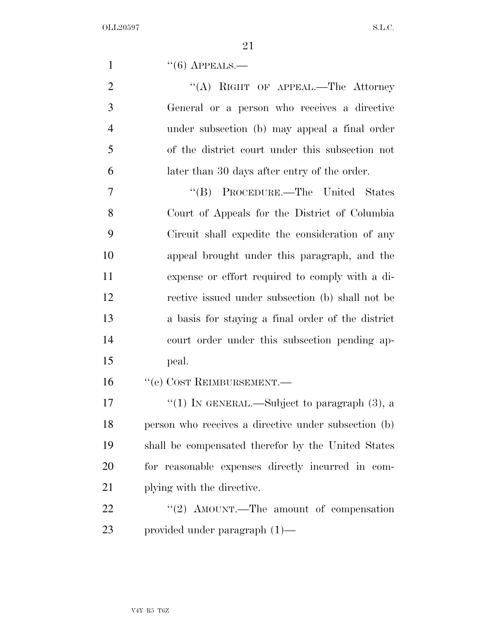1  $((6)$  APPEALS.—

2 "(A) RIGHT OF APPEAL.—The Attorney General or a person who receives a directive under subsection (b) may appeal a final order of the district court under this subsection not later than 30 days after entry of the order.

 ''(B) PROCEDURE.—The United States Court of Appeals for the District of Columbia Circuit shall expedite the consideration of any appeal brought under this paragraph, and the expense or effort required to comply with a di- rective issued under subsection (b) shall not be a basis for staying a final order of the district court order under this subsection pending ap-peal.

16 <sup>''</sup>(e) COST REIMBURSEMENT.

 $\frac{17}{2}$   $\frac{17}{2}$   $\frac{17}{2}$  IN GENERAL. Subject to paragraph (3), a person who receives a directive under subsection (b) shall be compensated therefor by the United States for reasonable expenses directly incurred in com-21 plying with the directive.

22 "'(2) AMOUNT.—The amount of compensation provided under paragraph (1)—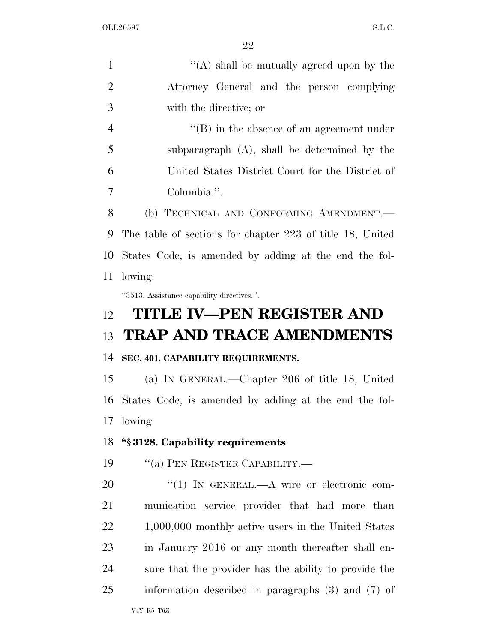| $\mathbf{1}$   | "(A) shall be mutually agreed upon by the                 |
|----------------|-----------------------------------------------------------|
| $\overline{2}$ | Attorney General and the person complying                 |
| 3              | with the directive; or                                    |
| $\overline{4}$ | $\lq\lq (B)$ in the absence of an agreement under         |
| 5              | subparagraph $(A)$ , shall be determined by the           |
| 6              | United States District Court for the District of          |
| 7              | Columbia.".                                               |
| 8              | (b) TECHNICAL AND CONFORMING AMENDMENT.                   |
| 9              | The table of sections for chapter 223 of title 18, United |
| 10             | States Code, is amended by adding at the end the fol-     |
| 11             | lowing:                                                   |
|                | "3513. Assistance capability directives.".                |
| 12             | <b>TITLE IV-PEN REGISTER AND</b>                          |
|                |                                                           |
| 13             | <b>TRAP AND TRACE AMENDMENTS</b>                          |
| 14             | SEC. 401. CAPABILITY REQUIREMENTS.                        |
| 15             | (a) IN GENERAL.—Chapter 206 of title 18, United           |
| 16             | States Code, is amended by adding at the end the fol-     |
| 17             | lowing:                                                   |
| 18             | "§3128. Capability requirements                           |
| 19             | "(a) PEN REGISTER CAPABILITY.—                            |
| 20             | $\lq(1)$ In GENERAL.—A wire or electronic com-            |
| 21             | munication service provider that had more than            |
| 22             | $1,000,000$ monthly active users in the United States     |
| 23             | in January 2016 or any month thereafter shall en-         |
| 24             | sure that the provider has the ability to provide the     |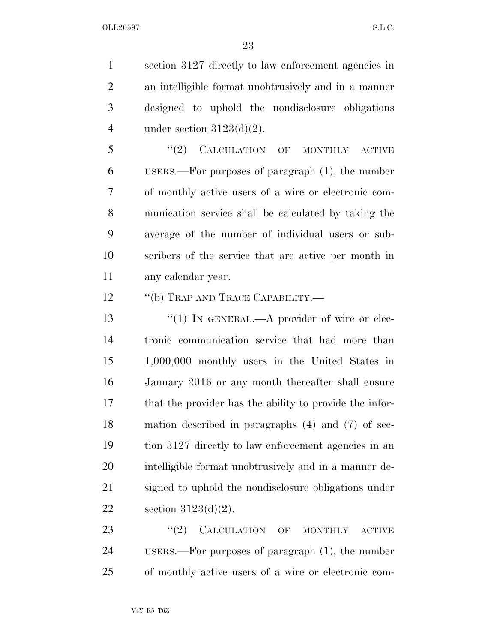section 3127 directly to law enforcement agencies in an intelligible format unobtrusively and in a manner designed to uphold the nondisclosure obligations 4 under section  $3123(d)(2)$ .

5 "(2) CALCULATION OF MONTHLY ACTIVE USERS.—For purposes of paragraph (1), the number of monthly active users of a wire or electronic com- munication service shall be calculated by taking the average of the number of individual users or sub- scribers of the service that are active per month in any calendar year.

12 "(b) TRAP AND TRACE CAPABILITY.—

13 "(1) IN GENERAL.—A provider of wire or elec- tronic communication service that had more than 1,000,000 monthly users in the United States in January 2016 or any month thereafter shall ensure that the provider has the ability to provide the infor- mation described in paragraphs (4) and (7) of sec- tion 3127 directly to law enforcement agencies in an intelligible format unobtrusively and in a manner de- signed to uphold the nondisclosure obligations under section 3123(d)(2).

23 "(2) CALCULATION OF MONTHLY ACTIVE USERS.—For purposes of paragraph (1), the number of monthly active users of a wire or electronic com-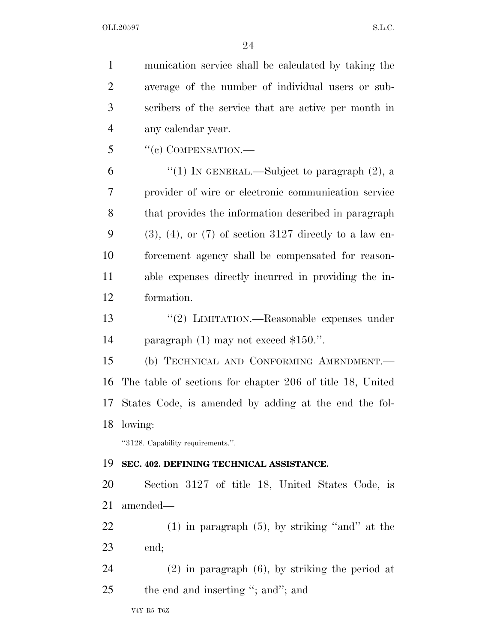munication service shall be calculated by taking the average of the number of individual users or sub- scribers of the service that are active per month in any calendar year. "(c) COMPENSATION.— 6 "(1) In GENERAL.—Subject to paragraph  $(2)$ , a provider of wire or electronic communication service that provides the information described in paragraph 9 (3), (4), or (7) of section 3127 directly to a law en- forcement agency shall be compensated for reason- able expenses directly incurred in providing the in- formation. ''(2) LIMITATION.—Reasonable expenses under paragraph (1) may not exceed \$150.''. (b) TECHNICAL AND CONFORMING AMENDMENT.— The table of sections for chapter 206 of title 18, United States Code, is amended by adding at the end the fol- lowing: ''3128. Capability requirements.''. **SEC. 402. DEFINING TECHNICAL ASSISTANCE.**  Section 3127 of title 18, United States Code, is amended— (1) in paragraph (5), by striking ''and'' at the end; (2) in paragraph (6), by striking the period at 25 the end and inserting "; and"; and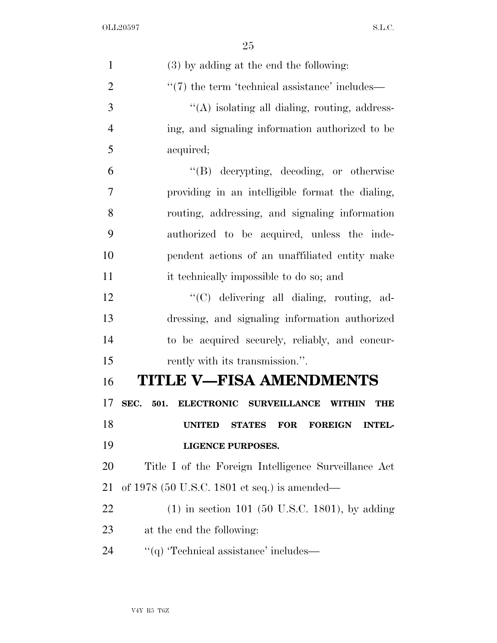| $\mathbf{1}$   | (3) by adding at the end the following:                                         |
|----------------|---------------------------------------------------------------------------------|
| $\overline{2}$ | $\lq(7)$ the term 'technical assistance' includes—                              |
| 3              | "(A) isolating all dialing, routing, address-                                   |
| 4              | ing, and signaling information authorized to be                                 |
| 5              | acquired;                                                                       |
| 6              | "(B) decrypting, decoding, or otherwise                                         |
| 7              | providing in an intelligible format the dialing,                                |
| 8              | routing, addressing, and signaling information                                  |
| 9              | authorized to be acquired, unless the inde-                                     |
| 10             | pendent actions of an unaffiliated entity make                                  |
| 11             | it technically impossible to do so; and                                         |
| 12             | "(C) delivering all dialing, routing, ad-                                       |
| 13             | dressing, and signaling information authorized                                  |
| 14             | to be acquired securely, reliably, and concur-                                  |
| 15             | rently with its transmission.".                                                 |
| 16             | <b>TITLE V-FISA AMENDMENTS</b>                                                  |
| 17             | ELECTRONIC SURVEILLANCE<br>SEC.<br>501.<br><b>WITHIN</b><br>THE                 |
| 18             | <b>UNITED</b><br><b>FOR</b><br><b>STATES</b><br><b>FOREIGN</b><br><b>INTEL-</b> |
| 19             | <b>LIGENCE PURPOSES.</b>                                                        |
| 20             | Title I of the Foreign Intelligence Surveillance Act                            |
| 21             | of 1978 (50 U.S.C. 1801 et seq.) is amended—                                    |
| 22             | $(1)$ in section 101 (50 U.S.C. 1801), by adding                                |
| 23             | at the end the following:                                                       |
| 24             | "(q) 'Technical assistance' includes—                                           |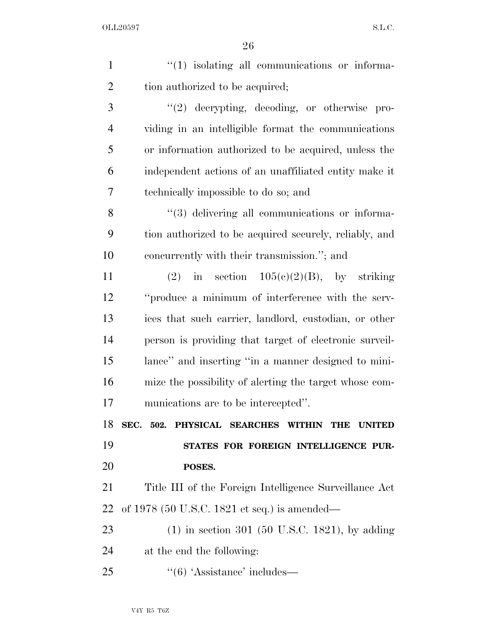| $\mathbf{1}$   | $\lq(1)$ isolating all communications or informa-                 |
|----------------|-------------------------------------------------------------------|
| $\overline{2}$ | tion authorized to be acquired;                                   |
| 3              | "(2) decrypting, decoding, or otherwise pro-                      |
| $\overline{4}$ | viding in an intelligible format the communications               |
| 5              | or information authorized to be acquired, unless the              |
| 6              | independent actions of an unaffiliated entity make it             |
| 7              | technically impossible to do so; and                              |
| 8              | "(3) delivering all communications or informa-                    |
| 9              | tion authorized to be acquired securely, reliably, and            |
| 10             | concurrently with their transmission."; and                       |
| 11             | (2) in section $105(e)(2)(B)$ , by striking                       |
| 12             | "produce a minimum of interference with the serv-                 |
| 13             | ices that such carrier, landlord, custodian, or other             |
| 14             | person is providing that target of electronic surveil-            |
| 15             | lance" and inserting "in a manner designed to mini-               |
| 16             | mize the possibility of alerting the target whose com-            |
| 17             | munications are to be intercepted".                               |
| 18             | SEC. 502. PHYSICAL SEARCHES WITHIN<br><b>THE</b><br><b>UNITED</b> |
| 19             | STATES FOR FOREIGN INTELLIGENCE PUR-                              |
| 20             | POSES.                                                            |
| 21             | Title III of the Foreign Intelligence Surveillance Act            |
| 22             | of 1978 (50 U.S.C. 1821 et seq.) is amended—                      |
| 23             | $(1)$ in section 301 (50 U.S.C. 1821), by adding                  |
| 24             | at the end the following:                                         |
| 25             | $\cdot\cdot$ (6) 'Assistance' includes—                           |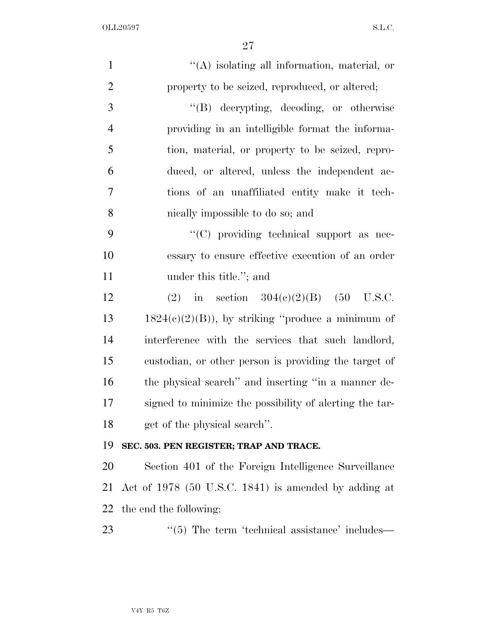| $\mathbf{1}$   | $\lq\lq$ isolating all information, material, or        |
|----------------|---------------------------------------------------------|
| $\overline{2}$ | property to be seized, reproduced, or altered;          |
| 3              | "(B) decrypting, decoding, or otherwise                 |
| $\overline{4}$ | providing in an intelligible format the informa-        |
| 5              | tion, material, or property to be seized, repro-        |
| 6              | duced, or altered, unless the independent ac-           |
| 7              | tions of an unaffiliated entity make it tech-           |
| 8              | nically impossible to do so; and                        |
| 9              | "(C) providing technical support as nec-                |
| 10             | essary to ensure effective execution of an order        |
| 11             | under this title."; and                                 |
| 12             | in section $304(c)(2)(B)$ (50 U.S.C.<br>(2)             |
| 13             | $1824(c)(2)(B)$ , by striking "produce a minimum of     |
| 14             | interference with the services that such landlord,      |
| 15             | custodian, or other person is providing the target of   |
| 16             | the physical search" and inserting "in a manner de-     |
| 17             | signed to minimize the possibility of alerting the tar- |
| 18             | get of the physical search".                            |
| 19             | SEC. 503. PEN REGISTER; TRAP AND TRACE.                 |
| 20             | Section 401 of the Foreign Intelligence Surveillance    |
| 21             | Act of 1978 (50 U.S.C. 1841) is amended by adding at    |
| 22             | the end the following:                                  |
| 23             | $\lq(5)$ The term 'technical assistance' includes—      |
|                |                                                         |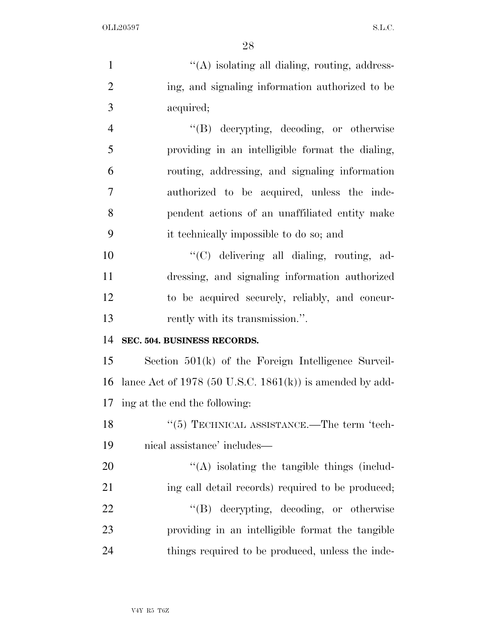| $\mathbf{1}$   | "(A) isolating all dialing, routing, address-                |
|----------------|--------------------------------------------------------------|
| $\overline{2}$ | ing, and signaling information authorized to be              |
| 3              | acquired;                                                    |
| $\overline{4}$ | "(B) decrypting, decoding, or otherwise                      |
| 5              | providing in an intelligible format the dialing,             |
| 6              | routing, addressing, and signaling information               |
| $\tau$         | authorized to be acquired, unless the inde-                  |
| 8              | pendent actions of an unaffiliated entity make               |
| 9              | it technically impossible to do so; and                      |
| 10             | "(C) delivering all dialing, routing, ad-                    |
| 11             | dressing, and signaling information authorized               |
| 12             | to be acquired securely, reliably, and concur-               |
|                |                                                              |
| 13             | rently with its transmission.".                              |
| 14             | SEC. 504. BUSINESS RECORDS.                                  |
| 15             | Section $501(k)$ of the Foreign Intelligence Surveil-        |
| 16             | lance Act of 1978 (50 U.S.C. 1861 $(k)$ ) is amended by add- |
|                | 17 ing at the end the following:                             |
| 18             | $``(5)$ TECHNICAL ASSISTANCE.—The term 'tech-                |
| 19             | nical assistance' includes—                                  |
| 20             | $\lq\lq$ isolating the tangible things (includ-              |
| 21             | ing call detail records) required to be produced;            |
| 22             | "(B) decrypting, decoding, or otherwise                      |
| 23             | providing in an intelligible format the tangible             |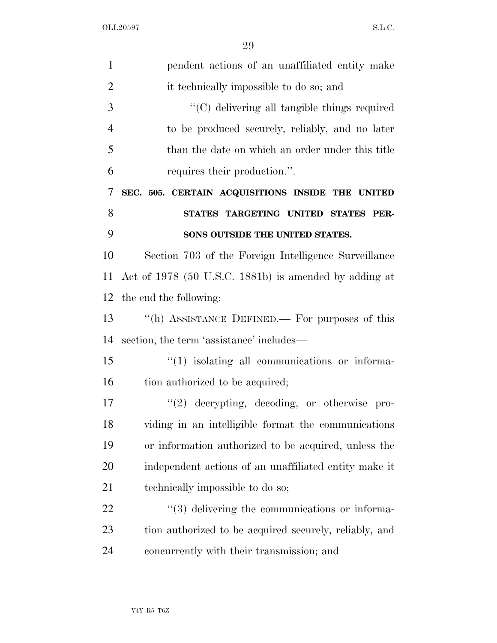| $\mathbf{1}$   | pendent actions of an unaffiliated entity make         |
|----------------|--------------------------------------------------------|
| $\overline{2}$ | it technically impossible to do so; and                |
| 3              | "(C) delivering all tangible things required           |
| $\overline{4}$ | to be produced securely, reliably, and no later        |
| 5              | than the date on which an order under this title       |
| 6              | requires their production.".                           |
| 7              | SEC. 505. CERTAIN ACQUISITIONS INSIDE THE UNITED       |
| 8              | STATES TARGETING UNITED STATES PER-                    |
| 9              | SONS OUTSIDE THE UNITED STATES.                        |
| 10             | Section 703 of the Foreign Intelligence Surveillance   |
| 11             | Act of 1978 (50 U.S.C. 1881b) is amended by adding at  |
| 12             | the end the following:                                 |
| 13             | "(h) ASSISTANCE DEFINED.— For purposes of this         |
| 14             | section, the term 'assistance' includes—               |
| 15             | $\lq(1)$ isolating all communications or informa-      |
| 16             | tion authorized to be acquired;                        |
| 17             | $(2)$ decrypting, decoding, or otherwise pro-          |
| 18             | viding in an intelligible format the communications    |
| 19             | or information authorized to be acquired, unless the   |
| 20             | independent actions of an unaffiliated entity make it  |
| 21             | technically impossible to do so;                       |
| 22             | "(3) delivering the communications or informa-         |
| 23             | tion authorized to be acquired securely, reliably, and |
| 24             | concurrently with their transmission; and              |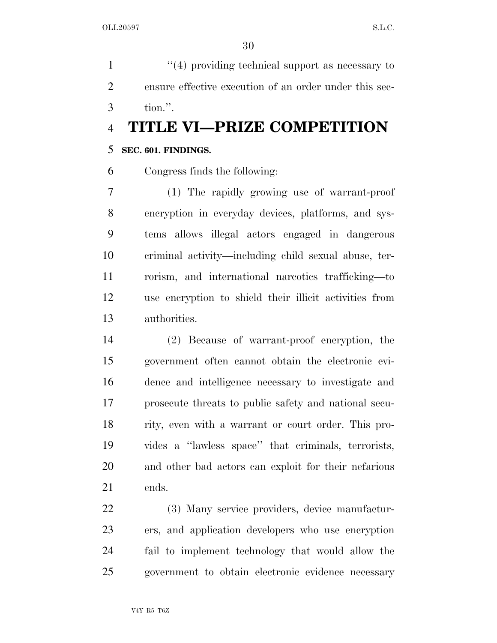1 ''(4) providing technical support as necessary to ensure effective execution of an order under this sec-tion.''.

# **TITLE VI—PRIZE COMPETITION**

## **SEC. 601. FINDINGS.**

Congress finds the following:

 (1) The rapidly growing use of warrant-proof encryption in everyday devices, platforms, and sys- tems allows illegal actors engaged in dangerous criminal activity—including child sexual abuse, ter- rorism, and international narcotics trafficking—to use encryption to shield their illicit activities from authorities.

 (2) Because of warrant-proof encryption, the government often cannot obtain the electronic evi- dence and intelligence necessary to investigate and prosecute threats to public safety and national secu- rity, even with a warrant or court order. This pro- vides a ''lawless space'' that criminals, terrorists, and other bad actors can exploit for their nefarious ends.

 (3) Many service providers, device manufactur- ers, and application developers who use encryption fail to implement technology that would allow the government to obtain electronic evidence necessary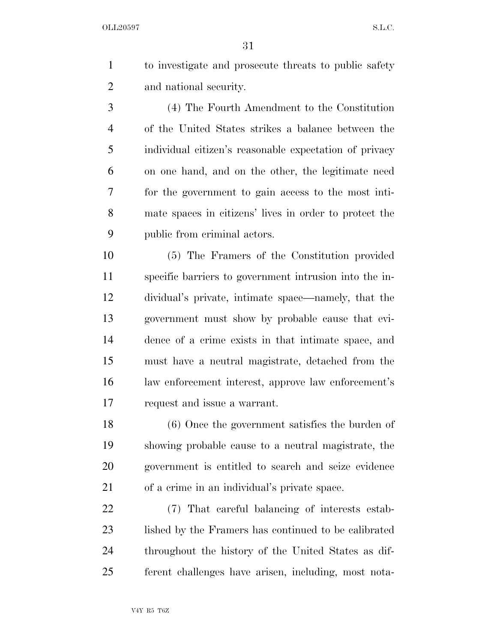| to investigate and prosecute threats to public safety |
|-------------------------------------------------------|
| and national security.                                |

 (4) The Fourth Amendment to the Constitution of the United States strikes a balance between the individual citizen's reasonable expectation of privacy on one hand, and on the other, the legitimate need for the government to gain access to the most inti- mate spaces in citizens' lives in order to protect the public from criminal actors.

 (5) The Framers of the Constitution provided specific barriers to government intrusion into the in- dividual's private, intimate space—namely, that the government must show by probable cause that evi- dence of a crime exists in that intimate space, and must have a neutral magistrate, detached from the law enforcement interest, approve law enforcement's request and issue a warrant.

 (6) Once the government satisfies the burden of showing probable cause to a neutral magistrate, the government is entitled to search and seize evidence of a crime in an individual's private space.

 (7) That careful balancing of interests estab- lished by the Framers has continued to be calibrated throughout the history of the United States as dif-ferent challenges have arisen, including, most nota-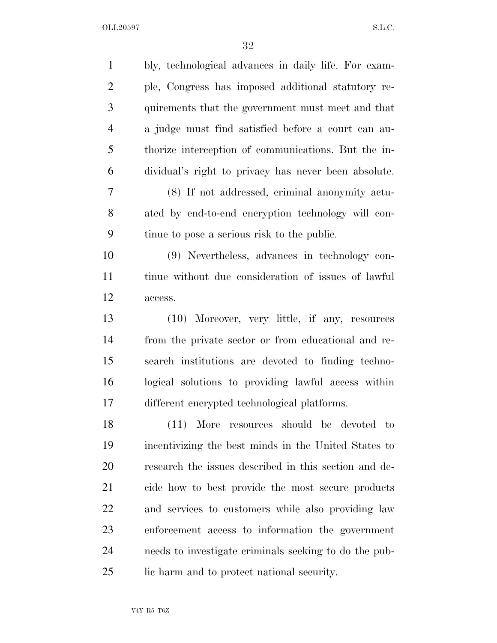| $\mathbf{1}$   | bly, technological advances in daily life. For exam-  |
|----------------|-------------------------------------------------------|
| $\overline{c}$ | ple, Congress has imposed additional statutory re-    |
| 3              | quirements that the government must meet and that     |
| 4              | a judge must find satisfied before a court can au-    |
| 5              | thorize interception of communications. But the in-   |
| 6              | dividual's right to privacy has never been absolute.  |
| $\overline{7}$ | (8) If not addressed, criminal anonymity actu-        |
| 8              | ated by end-to-end encryption technology will con-    |
| 9              | tinue to pose a serious risk to the public.           |
| 10             | (9) Nevertheless, advances in technology con-         |
| 11             | tinue without due consideration of issues of lawful   |
| 12             | access.                                               |
| 13             | (10) Moreover, very little, if any, resources         |
| 14             | from the private sector or from educational and re-   |
| 15             | search institutions are devoted to finding techno-    |
| 16             | logical solutions to providing lawful access within   |
| 17             | different encrypted technological platforms.          |
| 18             | (11) More resources should be devoted to              |
| 19             | incentivizing the best minds in the United States to  |
| 20             | research the issues described in this section and de- |
| 21             | cide how to best provide the most secure products     |
| 22             | and services to customers while also providing law    |
| 23             | enforcement access to information the government      |
| 24             | needs to investigate criminals seeking to do the pub- |
| 25             | lic harm and to protect national security.            |
|                |                                                       |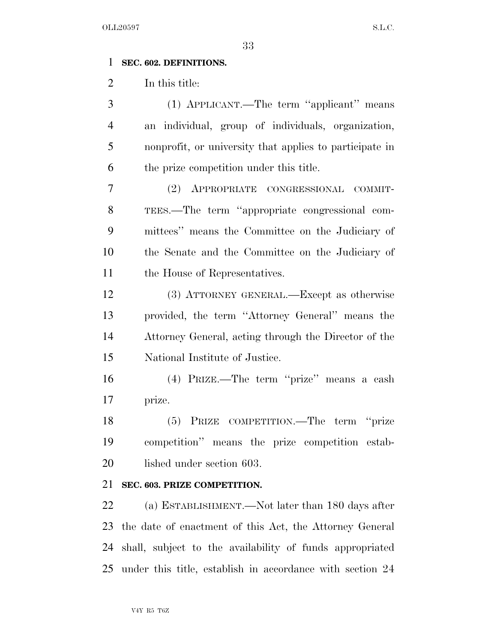### **SEC. 602. DEFINITIONS.**

In this title:

 (1) APPLICANT.—The term ''applicant'' means an individual, group of individuals, organization, nonprofit, or university that applies to participate in the prize competition under this title.

 (2) APPROPRIATE CONGRESSIONAL COMMIT- TEES.—The term ''appropriate congressional com- mittees'' means the Committee on the Judiciary of the Senate and the Committee on the Judiciary of the House of Representatives.

 (3) ATTORNEY GENERAL.—Except as otherwise provided, the term ''Attorney General'' means the Attorney General, acting through the Director of the National Institute of Justice.

 (4) PRIZE.—The term ''prize'' means a cash prize.

 (5) PRIZE COMPETITION.—The term ''prize competition'' means the prize competition estab-20 lished under section 603.

#### **SEC. 603. PRIZE COMPETITION.**

 (a) ESTABLISHMENT.—Not later than 180 days after the date of enactment of this Act, the Attorney General shall, subject to the availability of funds appropriated under this title, establish in accordance with section 24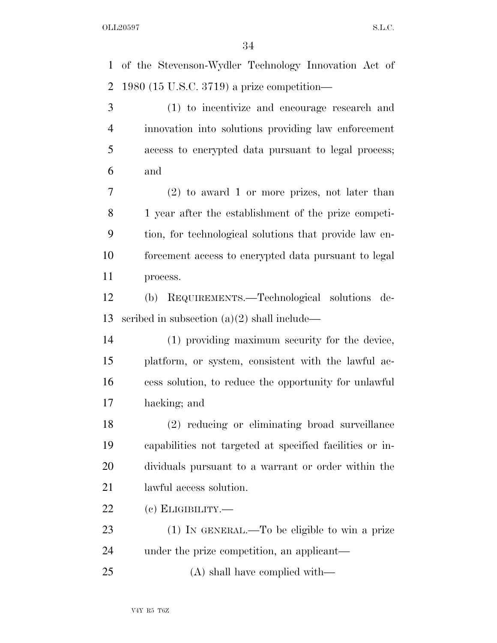of the Stevenson-Wydler Technology Innovation Act of

 1980 (15 U.S.C. 3719) a prize competition— (1) to incentivize and encourage research and innovation into solutions providing law enforcement access to encrypted data pursuant to legal process; and (2) to award 1 or more prizes, not later than 1 year after the establishment of the prize competi- tion, for technological solutions that provide law en- forcement access to encrypted data pursuant to legal process. (b) REQUIREMENTS.—Technological solutions de- scribed in subsection (a)(2) shall include— (1) providing maximum security for the device, platform, or system, consistent with the lawful ac- cess solution, to reduce the opportunity for unlawful hacking; and (2) reducing or eliminating broad surveillance capabilities not targeted at specified facilities or in- dividuals pursuant to a warrant or order within the lawful access solution. (c) ELIGIBILITY.— (1) IN GENERAL.—To be eligible to win a prize under the prize competition, an applicant— (A) shall have complied with—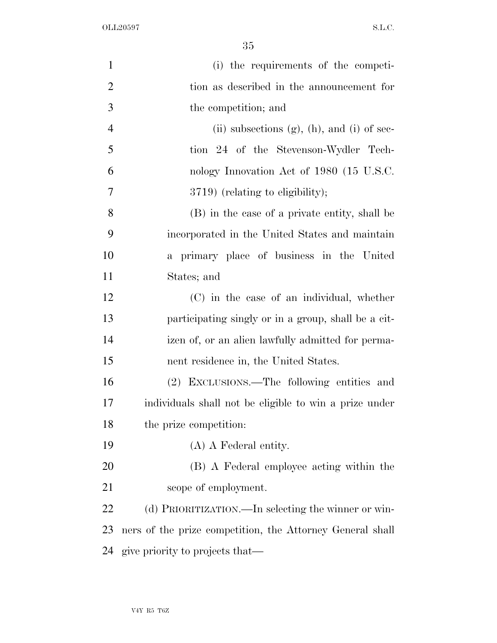| $\mathbf{1}$   | (i) the requirements of the competi-                      |
|----------------|-----------------------------------------------------------|
| $\overline{2}$ | tion as described in the announcement for                 |
| 3              | the competition; and                                      |
| $\overline{4}$ | (ii) subsections $(g)$ , $(h)$ , and $(i)$ of sec-        |
| 5              | tion 24 of the Stevenson-Wydler Tech-                     |
| 6              | nology Innovation Act of 1980 (15 U.S.C.                  |
| 7              | 3719) (relating to eligibility);                          |
| 8              | (B) in the case of a private entity, shall be             |
| 9              | incorporated in the United States and maintain            |
| 10             | a primary place of business in the United                 |
| 11             | States; and                                               |
| 12             | (C) in the case of an individual, whether                 |
| 13             | participating singly or in a group, shall be a cit-       |
| 14             | izen of, or an alien lawfully admitted for perma-         |
| 15             | nent residence in, the United States.                     |
| 16             | (2) EXCLUSIONS.—The following entities and                |
| 17             | individuals shall not be eligible to win a prize under    |
| 18             | the prize competition:                                    |
| 19             | $(A)$ A Federal entity.                                   |
| 20             | (B) A Federal employee acting within the                  |
| 21             | scope of employment.                                      |
| 22             | (d) PRIORITIZATION.—In selecting the winner or win-       |
| 23             | ners of the prize competition, the Attorney General shall |
| 24             | give priority to projects that—                           |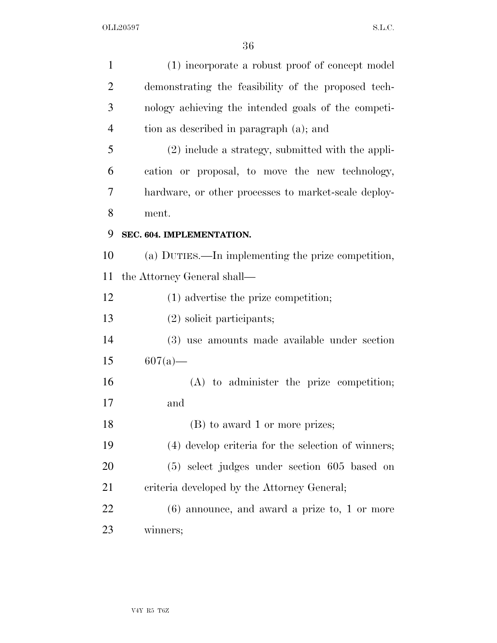| $\mathbf{1}$   | (1) incorporate a robust proof of concept model      |
|----------------|------------------------------------------------------|
| $\overline{2}$ | demonstrating the feasibility of the proposed tech-  |
| 3              | nology achieving the intended goals of the competi-  |
| $\overline{4}$ | tion as described in paragraph (a); and              |
| 5              | $(2)$ include a strategy, submitted with the appli-  |
| 6              | cation or proposal, to move the new technology,      |
| 7              | hardware, or other processes to market-scale deploy- |
| 8              | ment.                                                |
| 9              | SEC. 604. IMPLEMENTATION.                            |
| 10             | (a) DUTIES.—In implementing the prize competition,   |
| 11             | the Attorney General shall—                          |
| 12             | $(1)$ advertise the prize competition;               |
| 13             | $(2)$ solicit participants;                          |
| 14             | (3) use amounts made available under section         |
| 15             | $607(a)$ —                                           |
| 16             | $(A)$ to administer the prize competition;           |
| 17             | and                                                  |
| 18             | (B) to award 1 or more prizes;                       |
| 19             | (4) develop criteria for the selection of winners;   |
| 20             | $(5)$ select judges under section 605 based on       |
| 21             | criteria developed by the Attorney General;          |
| 22             | $(6)$ announce, and award a prize to, 1 or more      |
| 23             | winners;                                             |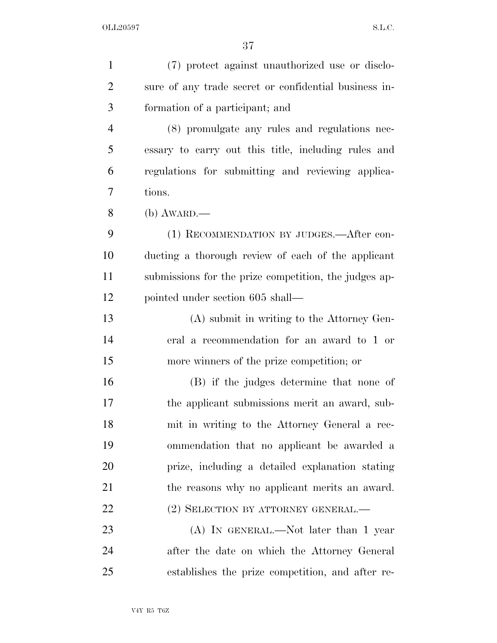| $\mathbf{1}$   | (7) protect against unauthorized use or disclo-       |
|----------------|-------------------------------------------------------|
| $\overline{2}$ | sure of any trade secret or confidential business in- |
| 3              | formation of a participant; and                       |
| $\overline{4}$ | (8) promulgate any rules and regulations nec-         |
| 5              | essary to carry out this title, including rules and   |
| 6              | regulations for submitting and reviewing applica-     |
| 7              | tions.                                                |
| 8              | $(b)$ AWARD.—                                         |
| 9              | (1) RECOMMENDATION BY JUDGES.—After con-              |
| 10             | ducting a thorough review of each of the applicant    |
| 11             | submissions for the prize competition, the judges ap- |
| 12             | pointed under section 605 shall—                      |
| 13             | (A) submit in writing to the Attorney Gen-            |
| 14             | eral a recommendation for an award to 1 or            |
| 15             | more winners of the prize competition; or             |
| 16             | (B) if the judges determine that none of              |
| 17             | the applicant submissions merit an award, sub-        |
| 18             | mit in writing to the Attorney General a rec-         |
| 19             | ommendation that no applicant be awarded a            |
| 20             | prize, including a detailed explanation stating       |
| 21             | the reasons why no applicant merits an award.         |
| 22             | (2) SELECTION BY ATTORNEY GENERAL.—                   |
| 23             | (A) IN GENERAL.—Not later than 1 year                 |
| 24             | after the date on which the Attorney General          |
| 25             | establishes the prize competition, and after re-      |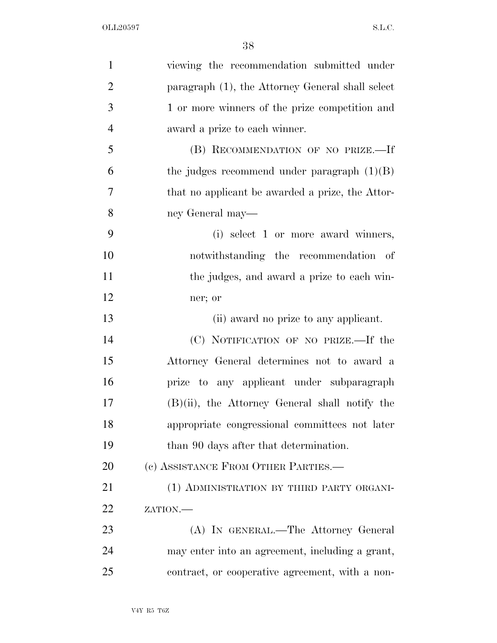| $\mathbf{1}$   | viewing the recommendation submitted under        |
|----------------|---------------------------------------------------|
| $\overline{2}$ | paragraph (1), the Attorney General shall select  |
| 3              | 1 or more winners of the prize competition and    |
| $\overline{4}$ | award a prize to each winner.                     |
| 5              | (B) RECOMMENDATION OF NO PRIZE.-If                |
| 6              | the judges recommend under paragraph $(1)(B)$     |
| 7              | that no applicant be awarded a prize, the Attor-  |
| 8              | ney General may—                                  |
| 9              | (i) select 1 or more award winners,               |
| 10             | notwithstanding the recommendation of             |
| 11             | the judges, and award a prize to each win-        |
| 12             | ner; or                                           |
| 13             | (ii) award no prize to any applicant.             |
| 14             | (C) NOTIFICATION OF NO PRIZE.—If the              |
| 15             | Attorney General determines not to award a        |
| 16             | prize to any applicant under subparagraph         |
| 17             | $(B)(ii)$ , the Attorney General shall notify the |
| 18             | appropriate congressional committees not later    |
| 19             | than 90 days after that determination.            |
| 20             | (c) ASSISTANCE FROM OTHER PARTIES.—               |
| 21             | (1) ADMINISTRATION BY THIRD PARTY ORGANI-         |
| 22             | ZATION.                                           |
| 23             | (A) IN GENERAL.—The Attorney General              |
| 24             | may enter into an agreement, including a grant,   |
| 25             | contract, or cooperative agreement, with a non-   |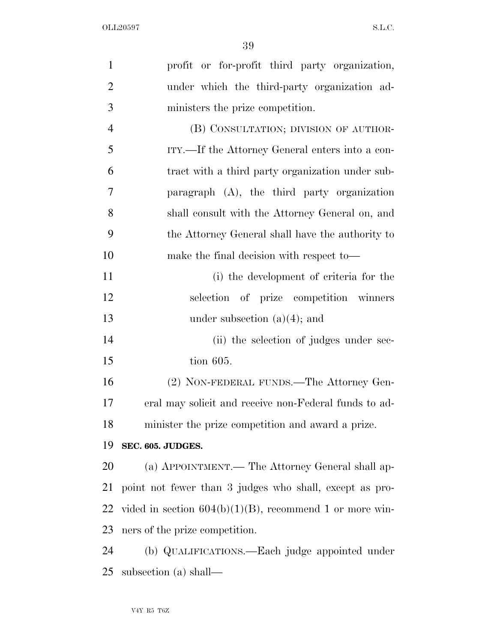| $\mathbf{1}$   | profit or for-profit third party organization,             |
|----------------|------------------------------------------------------------|
| $\overline{2}$ | under which the third-party organization ad-               |
| 3              | ministers the prize competition.                           |
| $\overline{4}$ | (B) CONSULTATION; DIVISION OF AUTHOR-                      |
| 5              | ITY.—If the Attorney General enters into a con-            |
| 6              | tract with a third party organization under sub-           |
| 7              | paragraph (A), the third party organization                |
| 8              | shall consult with the Attorney General on, and            |
| 9              | the Attorney General shall have the authority to           |
| 10             | make the final decision with respect to—                   |
| 11             | (i) the development of criteria for the                    |
| 12             | selection of prize competition winners                     |
| 13             | under subsection $(a)(4)$ ; and                            |
| 14             | (ii) the selection of judges under sec-                    |
| 15             | tion 605.                                                  |
| 16             | (2) NON-FEDERAL FUNDS.—The Attorney Gen-                   |
| 17             | eral may solicit and receive non-Federal funds to ad-      |
| 18             | minister the prize competition and award a prize.          |
| 19             | SEC. 605. JUDGES.                                          |
| 20             | (a) APPOINTMENT.— The Attorney General shall ap-           |
| 21             | point not fewer than 3 judges who shall, except as pro-    |
| 22             | vided in section $604(b)(1)(B)$ , recommend 1 or more win- |
| 23             | ners of the prize competition.                             |
| 24             | (b) QUALIFICATIONS.—Each judge appointed under             |
| 25             | subsection (a) shall—                                      |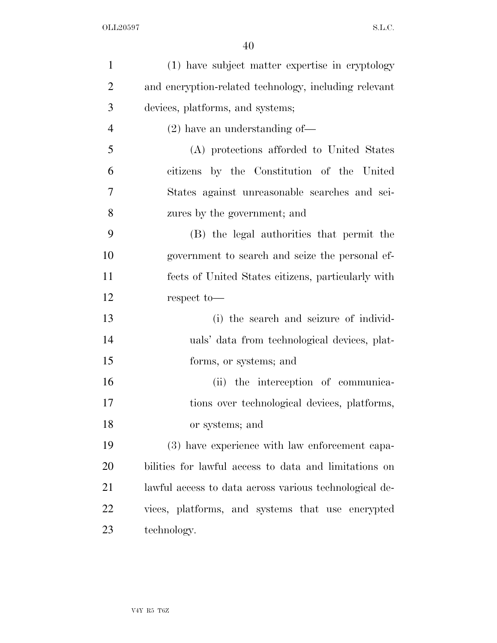| $\mathbf{1}$   | (1) have subject matter expertise in cryptology        |
|----------------|--------------------------------------------------------|
| $\overline{2}$ | and encryption-related technology, including relevant  |
| 3              | devices, platforms, and systems;                       |
| $\overline{4}$ | $(2)$ have an understanding of-                        |
| 5              | (A) protections afforded to United States              |
| 6              | citizens by the Constitution of the United             |
| 7              | States against unreasonable searches and sei-          |
| 8              | zures by the government; and                           |
| 9              | (B) the legal authorities that permit the              |
| 10             | government to search and seize the personal ef-        |
| 11             | fects of United States citizens, particularly with     |
| 12             | respect to-                                            |
| 13             | (i) the search and seizure of individ-                 |
| 14             | uals' data from technological devices, plat-           |
| 15             | forms, or systems; and                                 |
| 16             | (ii) the interception of communica-                    |
| 17             | tions over technological devices, platforms,           |
| 18             | or systems; and                                        |
| 19             | (3) have experience with law enforcement capa-         |
| 20             | bilities for lawful access to data and limitations on  |
| 21             | lawful access to data across various technological de- |
| 22             | vices, platforms, and systems that use encrypted       |
| 23             | technology.                                            |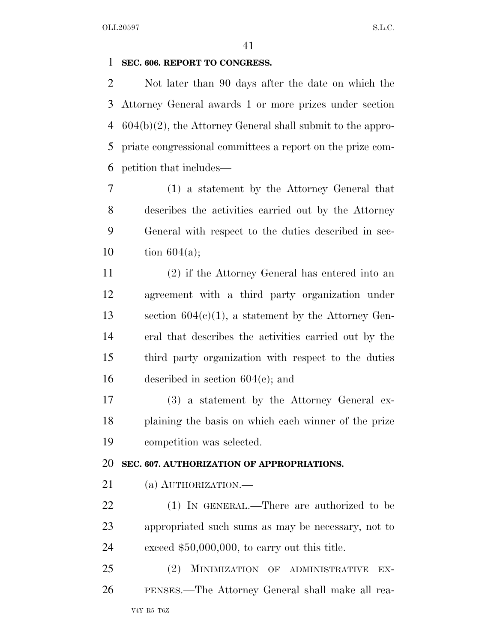#### **SEC. 606. REPORT TO CONGRESS.**

 Not later than 90 days after the date on which the Attorney General awards 1 or more prizes under section 604(b)(2), the Attorney General shall submit to the appro- priate congressional committees a report on the prize com-petition that includes—

 (1) a statement by the Attorney General that describes the activities carried out by the Attorney General with respect to the duties described in sec-10 tion  $604(a)$ ;

 (2) if the Attorney General has entered into an agreement with a third party organization under section 604(c)(1), a statement by the Attorney Gen- eral that describes the activities carried out by the third party organization with respect to the duties 16 described in section  $604(c)$ ; and

 (3) a statement by the Attorney General ex- plaining the basis on which each winner of the prize competition was selected.

#### **SEC. 607. AUTHORIZATION OF APPROPRIATIONS.**

21 (a) AUTHORIZATION.—

 (1) IN GENERAL.—There are authorized to be appropriated such sums as may be necessary, not to exceed \$50,000,000, to carry out this title.

 (2) MINIMIZATION OF ADMINISTRATIVE EX-PENSES.—The Attorney General shall make all rea-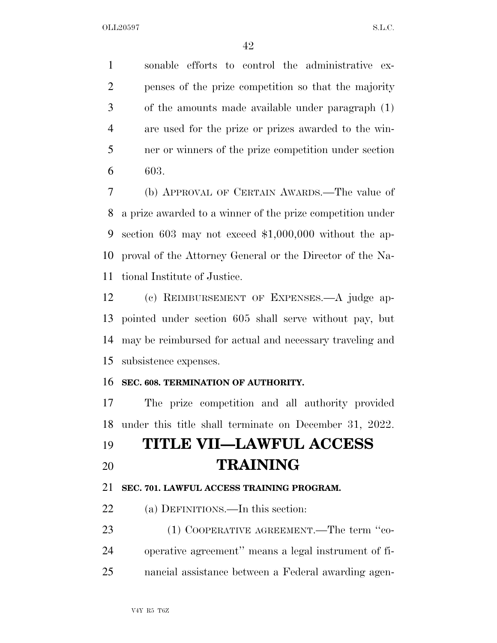sonable efforts to control the administrative ex- penses of the prize competition so that the majority of the amounts made available under paragraph (1) are used for the prize or prizes awarded to the win- ner or winners of the prize competition under section 603.

 (b) APPROVAL OF CERTAIN AWARDS.—The value of a prize awarded to a winner of the prize competition under section 603 may not exceed \$1,000,000 without the ap- proval of the Attorney General or the Director of the Na-tional Institute of Justice.

 (c) REIMBURSEMENT OF EXPENSES.—A judge ap- pointed under section 605 shall serve without pay, but may be reimbursed for actual and necessary traveling and subsistence expenses.

#### **SEC. 608. TERMINATION OF AUTHORITY.**

 The prize competition and all authority provided under this title shall terminate on December 31, 2022.

# **TITLE VII—LAWFUL ACCESS TRAINING**

### **SEC. 701. LAWFUL ACCESS TRAINING PROGRAM.**

22 (a) DEFINITIONS.—In this section:

23 (1) COOPERATIVE AGREEMENT.—The term "co- operative agreement'' means a legal instrument of fi-nancial assistance between a Federal awarding agen-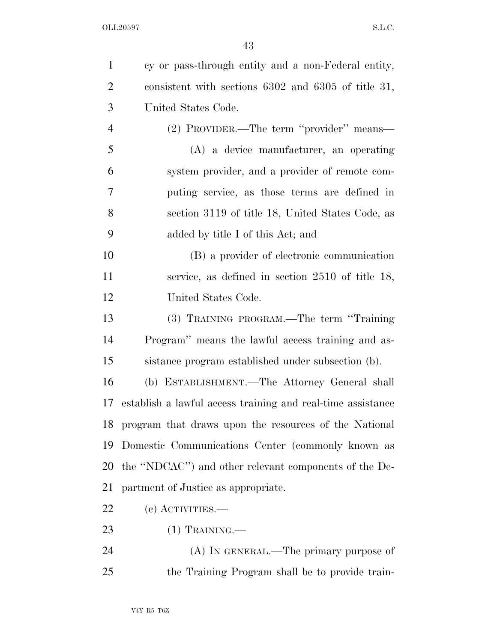| $\mathbf{1}$   | cy or pass-through entity and a non-Federal entity,         |
|----------------|-------------------------------------------------------------|
| $\overline{2}$ | consistent with sections $6302$ and $6305$ of title 31,     |
| 3              | United States Code.                                         |
| $\overline{4}$ | (2) PROVIDER.—The term "provider" means—                    |
| 5              | (A) a device manufacturer, an operating                     |
| 6              | system provider, and a provider of remote com-              |
| 7              | puting service, as those terms are defined in               |
| 8              | section 3119 of title 18, United States Code, as            |
| 9              | added by title I of this Act; and                           |
| 10             | (B) a provider of electronic communication                  |
| 11             | service, as defined in section $2510$ of title 18,          |
| 12             | United States Code.                                         |
| 13             | (3) TRAINING PROGRAM.—The term "Training"                   |
| 14             | Program" means the lawful access training and as-           |
| 15             | sistance program established under subsection (b).          |
| 16             | (b) ESTABLISHMENT.—The Attorney General shall               |
| 17             | establish a lawful access training and real-time assistance |
|                | 18 program that draws upon the resources of the National    |
| 19             | Domestic Communications Center (commonly known as           |
| 20             | the "NDCAC") and other relevant components of the De-       |
| 21             | partment of Justice as appropriate.                         |
| 22             | $(e)$ ACTIVITIES.—                                          |
| 23             | $(1)$ TRAINING.—                                            |
| 24             | (A) IN GENERAL.—The primary purpose of                      |
| 25             | the Training Program shall be to provide train-             |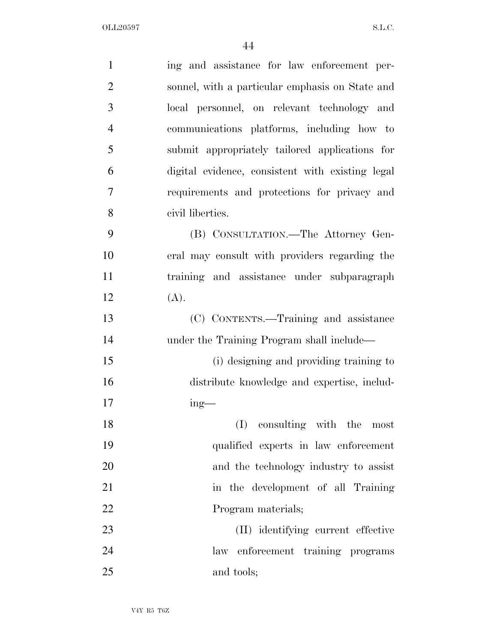| $\mathbf{1}$   | ing and assistance for law enforcement per-      |
|----------------|--------------------------------------------------|
| $\overline{2}$ | sonnel, with a particular emphasis on State and  |
| 3              | local personnel, on relevant technology and      |
| $\overline{4}$ | communications platforms, including how to       |
| 5              | submit appropriately tailored applications for   |
| 6              | digital evidence, consistent with existing legal |
| 7              | requirements and protections for privacy and     |
| 8              | civil liberties.                                 |
| 9              | (B) CONSULTATION.—The Attorney Gen-              |
| 10             | eral may consult with providers regarding the    |
| 11             | training and assistance under subparagraph       |
| 12             | (A).                                             |
| 13             | (C) CONTENTS.—Training and assistance            |
| 14             | under the Training Program shall include—        |
| 15             | (i) designing and providing training to          |
| 16             | distribute knowledge and expertise, includ-      |
| 17             | $ing$ —                                          |
| 18             | consulting with the most<br>(I)                  |
| 19             | qualified experts in law enforcement             |
| 20             | and the technology industry to assist            |
| 21             | in the development of all Training               |
| 22             | Program materials;                               |
| 23             | (II) identifying current effective               |
| 24             | law enforcement training programs                |
| 25             | and tools;                                       |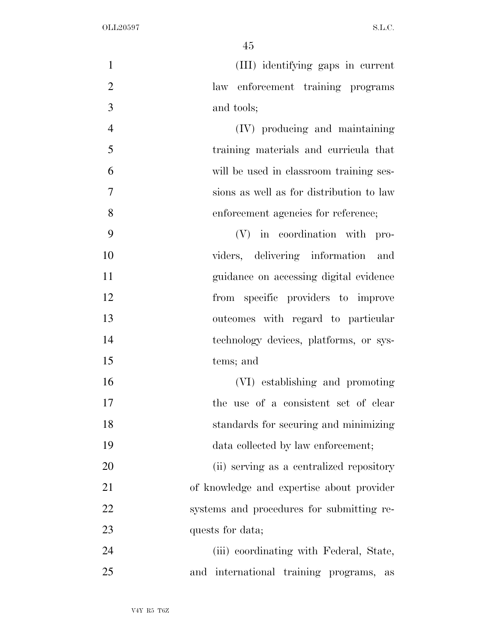| $\mathbf{1}$   | (III) identifying gaps in current                |
|----------------|--------------------------------------------------|
| $\overline{2}$ | law enforcement training programs                |
| 3              | and tools;                                       |
| $\overline{4}$ | (IV) producing and maintaining                   |
| 5              | training materials and curricula that            |
| 6              | will be used in classroom training ses-          |
| $\tau$         | sions as well as for distribution to law         |
| 8              | enforcement agencies for reference;              |
| 9              | (V) in coordination with pro-                    |
| 10             | viders, delivering information and               |
| 11             | guidance on accessing digital evidence           |
| 12             | from specific providers to improve               |
| 13             | outcomes with regard to particular               |
| 14             | technology devices, platforms, or sys-           |
| 15             | tems; and                                        |
| 16             | (VI) establishing and promoting                  |
| 17             | the use of a consistent set of clear             |
| 18             | standards for securing and minimizing            |
| 19             | data collected by law enforcement;               |
| 20             | (ii) serving as a centralized repository         |
| 21             | of knowledge and expertise about provider        |
| 22             | systems and procedures for submitting re-        |
| 23             | quests for data;                                 |
| 24             | (iii) coordinating with Federal, State,          |
| 25             | and international training programs,<br>$\rm as$ |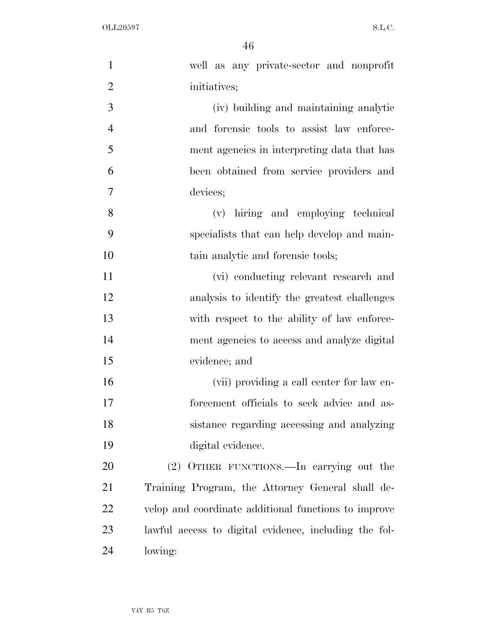| $\mathbf{1}$   | well as any private-sector and nonprofit              |
|----------------|-------------------------------------------------------|
| $\overline{2}$ | initiatives;                                          |
| 3              | (iv) building and maintaining analytic                |
| $\overline{4}$ | and forensic tools to assist law enforce-             |
| 5              | ment agencies in interpreting data that has           |
| 6              | been obtained from service providers and              |
| 7              | devices;                                              |
| 8              | (v) hiring and employing technical                    |
| 9              | specialists that can help develop and main-           |
| 10             | tain analytic and forensic tools;                     |
| 11             | (vi) conducting relevant research and                 |
| 12             | analysis to identify the greatest challenges          |
| 13             | with respect to the ability of law enforce-           |
| 14             | ment agencies to access and analyze digital           |
| 15             | evidence; and                                         |
| 16             | (vii) providing a call center for law en-             |
| 17             | forcement officials to seek advice and as-            |
| 18             | sistance regarding accessing and analyzing            |
| 19             | digital evidence.                                     |
| 20             | (2) OTHER FUNCTIONS.—In carrying out the              |
| 21             | Training Program, the Attorney General shall de-      |
| 22             | velop and coordinate additional functions to improve  |
| 23             | lawful access to digital evidence, including the fol- |
| 24             | lowing:                                               |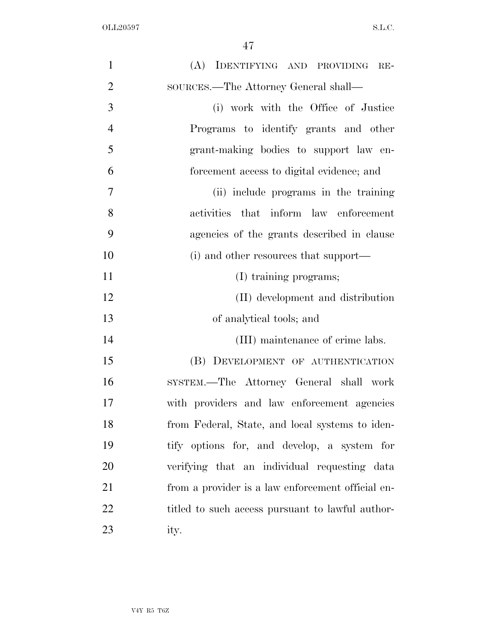| $\mathbf{1}$   | (A) IDENTIFYING AND PROVIDING RE-                 |
|----------------|---------------------------------------------------|
| $\overline{2}$ | SOURCES.—The Attorney General shall—              |
| 3              | (i) work with the Office of Justice               |
| $\overline{4}$ | Programs to identify grants and other             |
| 5              | grant-making bodies to support law en-            |
| 6              | forcement access to digital evidence; and         |
| 7              | (ii) include programs in the training             |
| 8              | activities that inform law enforcement            |
| 9              | agencies of the grants described in clause        |
| 10             | (i) and other resources that support—             |
| 11             | (I) training programs;                            |
| 12             | (II) development and distribution                 |
| 13             | of analytical tools; and                          |
| 14             | (III) maintenance of crime labs.                  |
| 15             | (B) DEVELOPMENT OF AUTHENTICATION                 |
| 16             | SYSTEM.—The Attorney General shall work           |
| 17             | with providers and law enforcement agencies       |
| 18             | from Federal, State, and local systems to iden-   |
| 19             | tify options for, and develop, a system for       |
| 20             | verifying that an individual requesting data      |
| 21             | from a provider is a law enforcement official en- |
| 22             | titled to such access pursuant to lawful author-  |
| 23             | ity.                                              |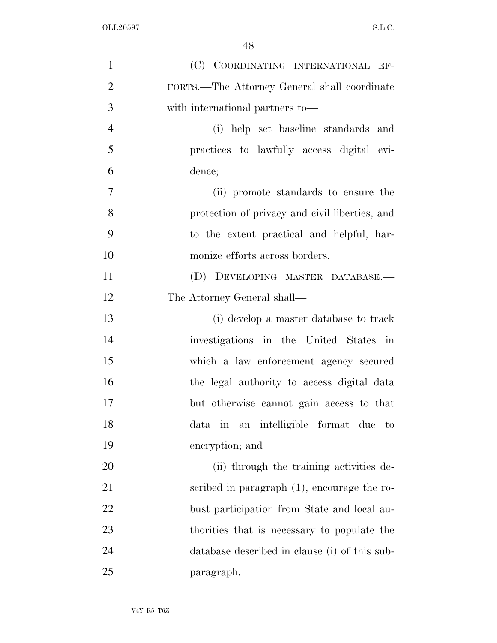| $\mathbf{1}$   | (C) COORDINATING INTERNATIONAL EF-                 |
|----------------|----------------------------------------------------|
| $\overline{2}$ | FORTS.—The Attorney General shall coordinate       |
| 3              | with international partners to—                    |
| $\overline{4}$ | (i) help set baseline standards and                |
| 5              | practices to lawfully access digital evi-          |
| 6              | dence;                                             |
| $\overline{7}$ | (ii) promote standards to ensure the               |
| 8              | protection of privacy and civil liberties, and     |
| 9              | to the extent practical and helpful, har-          |
| 10             | monize efforts across borders.                     |
| 11             | (D) DEVELOPING MASTER DATABASE.-                   |
| 12             | The Attorney General shall—                        |
| 13             | (i) develop a master database to track             |
| 14             | investigations in the United States in             |
| 15             | which a law enforcement agency secured             |
| 16             | the legal authority to access digital data         |
| 17             | but otherwise cannot gain access to that           |
| 18             | in an intelligible format due<br>data<br>$\rm{to}$ |
| 19             | encryption; and                                    |
| 20             | (ii) through the training activities de-           |
| 21             | scribed in paragraph (1), encourage the ro-        |
| 22             | bust participation from State and local au-        |
| 23             | thorities that is necessary to populate the        |
| 24             | database described in clause (i) of this sub-      |
| 25             | paragraph.                                         |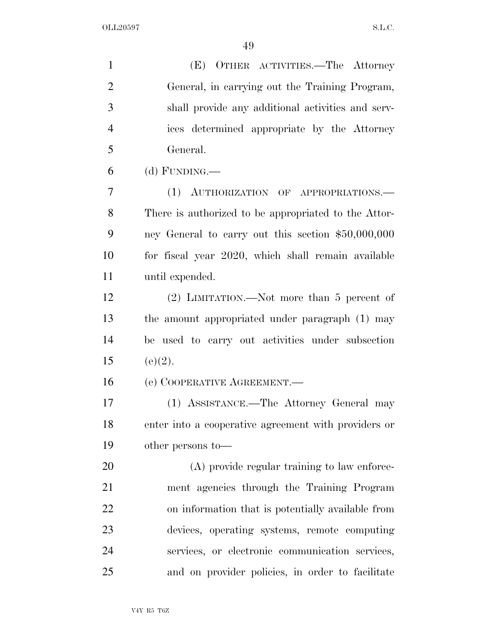(E) OTHER ACTIVITIES.—The Attorney General, in carrying out the Training Program, shall provide any additional activities and serv- ices determined appropriate by the Attorney General. (d) FUNDING.— (1) AUTHORIZATION OF APPROPRIATIONS.— There is authorized to be appropriated to the Attor-

 ney General to carry out this section \$50,000,000 for fiscal year 2020, which shall remain available until expended.

 (2) LIMITATION.—Not more than 5 percent of the amount appropriated under paragraph (1) may be used to carry out activities under subsection 15 (e)(2).

(e) COOPERATIVE AGREEMENT.—

 (1) ASSISTANCE.—The Attorney General may enter into a cooperative agreement with providers or other persons to—

 (A) provide regular training to law enforce- ment agencies through the Training Program on information that is potentially available from devices, operating systems, remote computing services, or electronic communication services, and on provider policies, in order to facilitate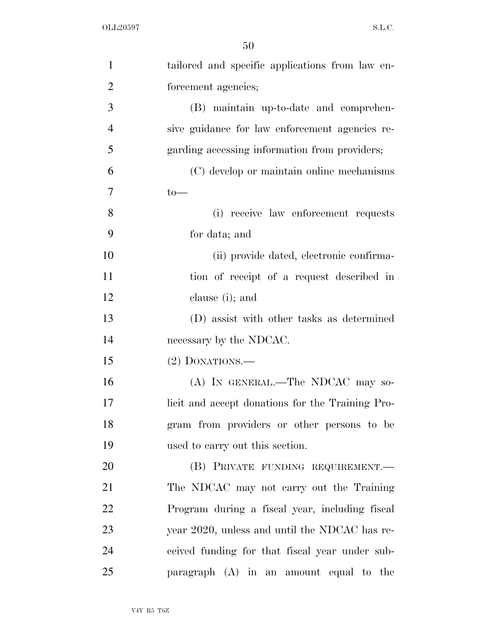| $\mathbf{1}$   | tailored and specific applications from law en-  |
|----------------|--------------------------------------------------|
| $\overline{2}$ | forcement agencies;                              |
| 3              | (B) maintain up-to-date and comprehen-           |
| $\overline{4}$ | sive guidance for law enforcement agencies re-   |
| 5              | garding accessing information from providers;    |
| 6              | (C) develop or maintain online mechanisms        |
| $\overline{7}$ | $to-$                                            |
| 8              | (i) receive law enforcement requests             |
| 9              | for data; and                                    |
| 10             | (ii) provide dated, electronic confirma-         |
| 11             | tion of receipt of a request described in        |
| 12             | clause (i); and                                  |
| 13             | (D) assist with other tasks as determined        |
| 14             | necessary by the NDCAC.                          |
| 15             | $(2)$ DONATIONS.—                                |
| 16             | (A) IN GENERAL.—The NDCAC may so-                |
| 17             | licit and accept donations for the Training Pro- |
| 18             | gram from providers or other persons to be       |
| 19             | used to carry out this section.                  |
| 20             | (B) PRIVATE FUNDING REQUIREMENT.                 |
| 21             | The NDCAC may not carry out the Training         |
| 22             | Program during a fiscal year, including fiscal   |
| 23             | year 2020, unless and until the NDCAC has re-    |
| 24             | ceived funding for that fiscal year under sub-   |
| 25             | paragraph $(A)$ in an amount equal to the        |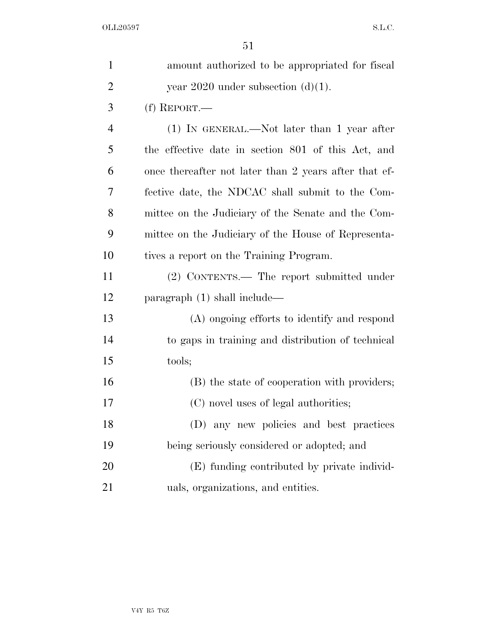| $\mathbf{1}$   | amount authorized to be appropriated for fiscal       |
|----------------|-------------------------------------------------------|
| $\overline{2}$ | year 2020 under subsection $(d)(1)$ .                 |
| 3              | $(f)$ REPORT.—                                        |
| 4              | (1) IN GENERAL.—Not later than 1 year after           |
| 5              | the effective date in section 801 of this Act, and    |
| 6              | once thereafter not later than 2 years after that ef- |
| 7              | fective date, the NDCAC shall submit to the Com-      |
| 8              | mittee on the Judiciary of the Senate and the Com-    |
| 9              | mittee on the Judiciary of the House of Representa-   |
| 10             | tives a report on the Training Program.               |
| 11             | (2) CONTENTS.— The report submitted under             |
| 12             | paragraph (1) shall include—                          |
| 13             | (A) ongoing efforts to identify and respond           |
| 14             | to gaps in training and distribution of technical     |
| 15             | tools;                                                |
| 16             | (B) the state of cooperation with providers;          |
| 17             | (C) novel uses of legal authorities;                  |
| 18             | (D) any new policies and best practices               |
| 19             | being seriously considered or adopted; and            |
| 20             | (E) funding contributed by private individ-           |
| 21             | uals, organizations, and entities.                    |